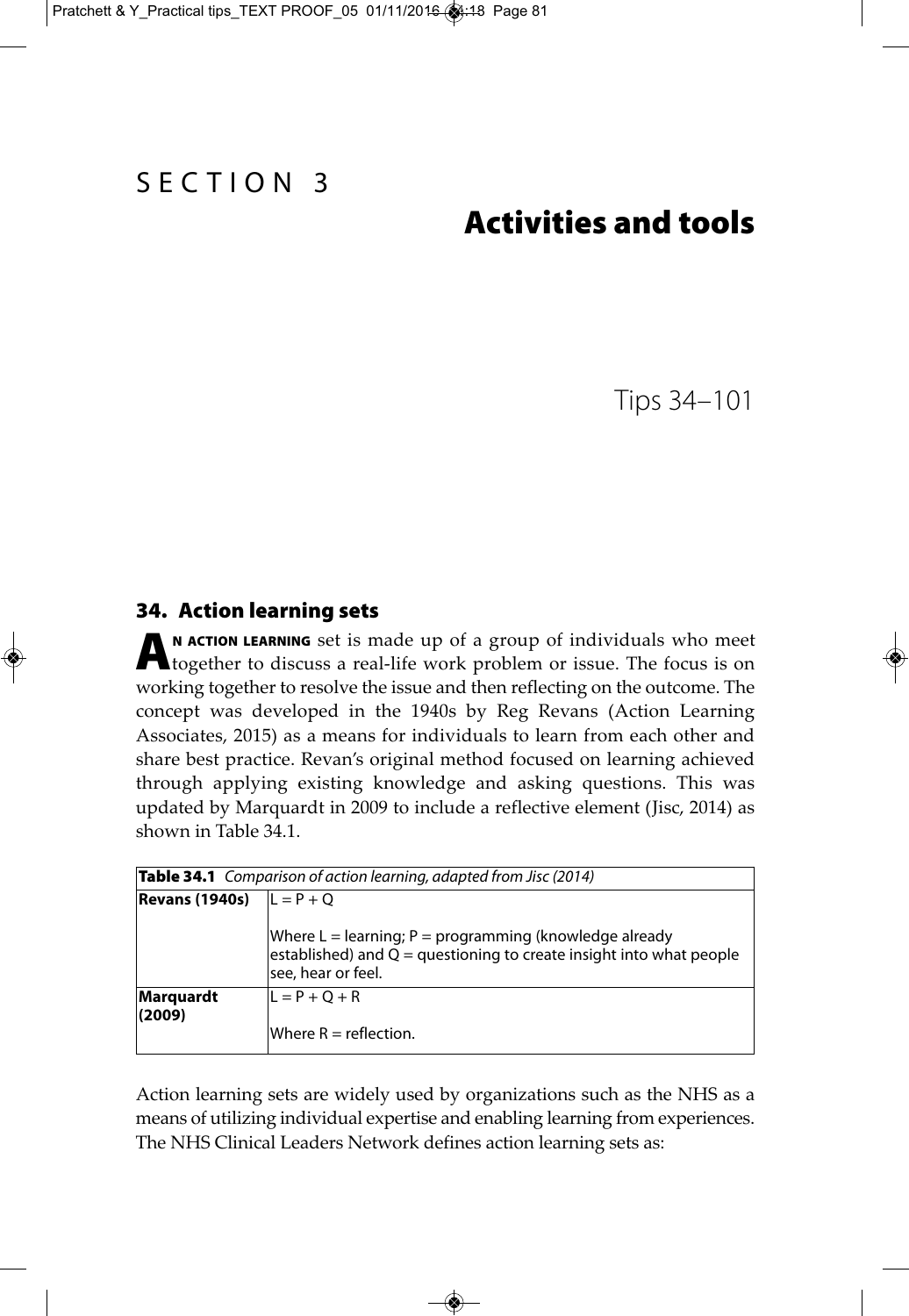# S E C T I O N 3

# **Activities and tools**

# Tips 34–101

### **34. Action learning sets**

**AN ACTION LEARNING** set is made up of a group of individuals who meet together to discuss a real-life work problem or issue. The focus is on working together to resolve the issue and then reflecting on the outcome. The concept was developed in the 1940s by Reg Revans (Action Learning Associates, 2015) as a means for individuals to learn from each other and share best practice. Revan's original method focused on learning achieved through applying existing knowledge and asking questions. This was updated by Marquardt in 2009 to include a reflective element (Jisc, 2014) as shown in Table 34.1.

| <b>Table 34.1</b> Comparison of action learning, adapted from Jisc (2014) |                                                                                                                                                                         |  |
|---------------------------------------------------------------------------|-------------------------------------------------------------------------------------------------------------------------------------------------------------------------|--|
| Revans (1940s)                                                            | $ L = P + O$<br>Where $L =$ learning; $P =$ programming (knowledge already<br>established) and Q = questioning to create insight into what people<br>see, hear or feel. |  |
| Marquardt<br>(2009)                                                       | $L = P + O + R$<br>Where $R =$ reflection.                                                                                                                              |  |

Action learning sets are widely used by organizations such as the NHS as a means of utilizing individual expertise and enabling learning from experiences. The NHS Clinical Leaders Network defines action learning sets as: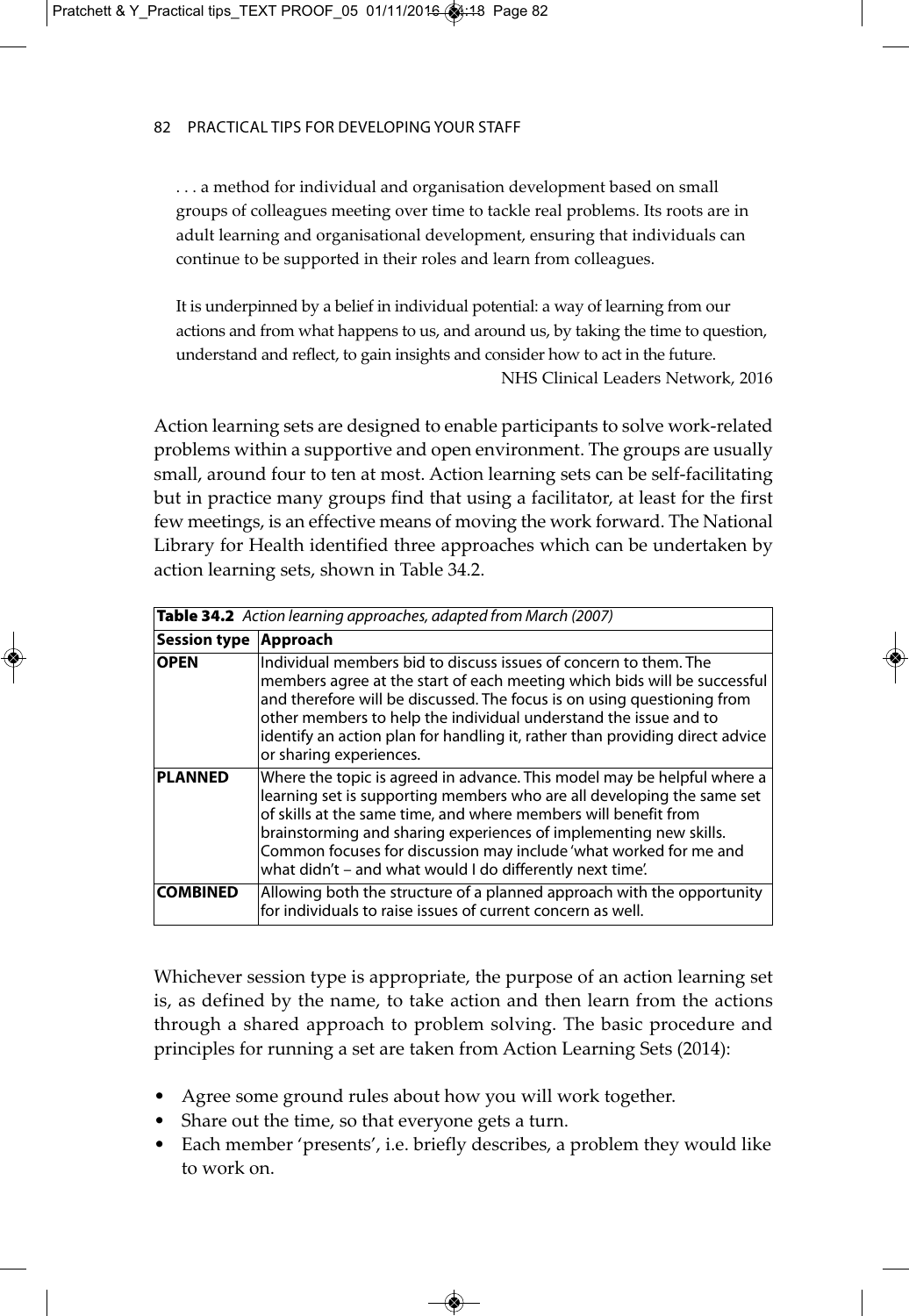. . . a method for individual and organisation development based on small groups of colleagues meeting over time to tackle real problems. Its roots are in adult learning and organisational development, ensuring that individuals can continue to be supported in their roles and learn from colleagues.

It is underpinned by a belief in individual potential: a way of learning from our actions and from what happens to us, and around us, by taking the time to question, understand and reflect, to gain insights and consider how to act in the future.

NHS Clinical Leaders Network, 2016

Action learning sets are designed to enable participants to solve work-related problems within a supportive and open environment. The groups are usually small, around four to ten at most. Action learning sets can be self-facilitating but in practice many groups find that using a facilitator, at least for the first few meetings, is an effective means of moving the work forward. The National Library for Health identified three approaches which can be undertaken by action learning sets, shown in Table 34.2.

|                | <b>Table 34.2</b> Action learning approaches, adapted from March (2007)                                                                                                                                                                                                                                                                                                                                                     |
|----------------|-----------------------------------------------------------------------------------------------------------------------------------------------------------------------------------------------------------------------------------------------------------------------------------------------------------------------------------------------------------------------------------------------------------------------------|
| Session type   | Approach                                                                                                                                                                                                                                                                                                                                                                                                                    |
| <b>OPEN</b>    | Individual members bid to discuss issues of concern to them. The<br>members agree at the start of each meeting which bids will be successful<br>and therefore will be discussed. The focus is on using questioning from<br>other members to help the individual understand the issue and to<br>identify an action plan for handling it, rather than providing direct advice<br>or sharing experiences.                      |
| <b>PLANNED</b> | Where the topic is agreed in advance. This model may be helpful where a<br>learning set is supporting members who are all developing the same set<br>of skills at the same time, and where members will benefit from<br>brainstorming and sharing experiences of implementing new skills.<br>Common focuses for discussion may include 'what worked for me and<br>what didn't - and what would I do differently next time'. |
| COMBINED       | Allowing both the structure of a planned approach with the opportunity<br>for individuals to raise issues of current concern as well.                                                                                                                                                                                                                                                                                       |

Whichever session type is appropriate, the purpose of an action learning set is, as defined by the name, to take action and then learn from the actions through a shared approach to problem solving. The basic procedure and principles for running a set are taken from Action Learning Sets (2014):

- Agree some ground rules about how you will work together.
- Share out the time, so that everyone gets a turn.
- Each member 'presents', i.e. briefly describes, a problem they would like to work on.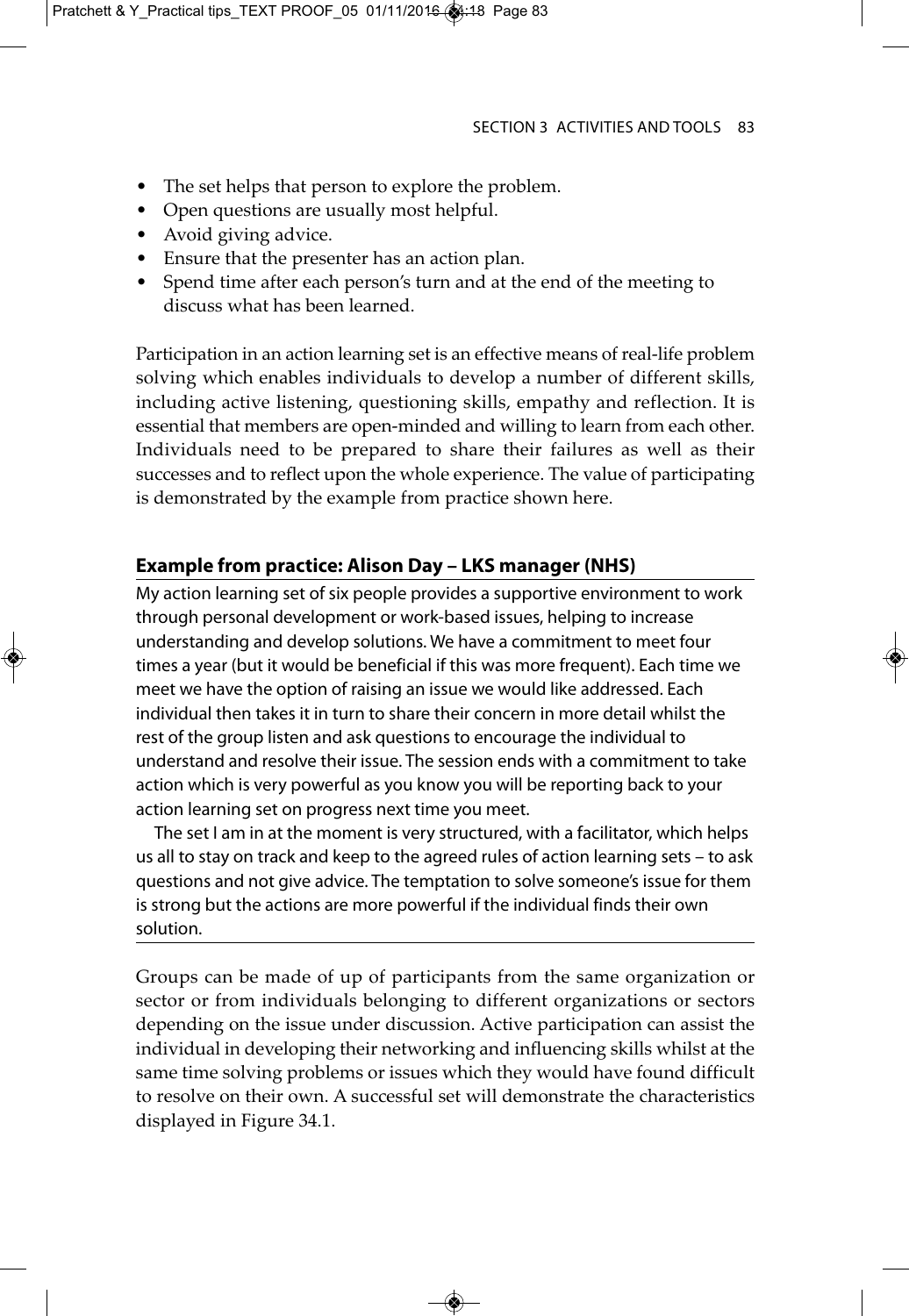- The set helps that person to explore the problem.
- Open questions are usually most helpful.
- Avoid giving advice.
- Ensure that the presenter has an action plan.
- Spend time after each person's turn and at the end of the meeting to discuss what has been learned.

Participation in an action learning set is an effective means of real-life problem solving which enables individuals to develop a number of different skills, including active listening, questioning skills, empathy and reflection. It is essential that members are open-minded and willing to learn from each other. Individuals need to be prepared to share their failures as well as their successes and to reflect upon the whole experience. The value of participating is demonstrated by the example from practice shown here.

### **Example from practice: Alison Day – LKS manager (NHS)**

My action learning set of six people provides a supportive environment to work through personal development or work-based issues, helping to increase understanding and develop solutions. We have a commitment to meet four times a year (but it would be beneficial if this was more frequent). Each time we meet we have the option of raising an issue we would like addressed. Each individual then takes it in turn to share their concern in more detail whilst the rest of the group listen and ask questions to encourage the individual to understand and resolve their issue. The session ends with a commitment to take action which is very powerful as you know you will be reporting back to your action learning set on progress next time you meet.

The set I am in at the moment is very structured, with a facilitator, which helps us all to stay on track and keep to the agreed rules of action learning sets – to ask questions and not give advice. The temptation to solve someone's issue for them is strong but the actions are more powerful if the individual finds their own solution.

Groups can be made of up of participants from the same organization or sector or from individuals belonging to different organizations or sectors depending on the issue under discussion. Active participation can assist the individual in developing their networking and influencing skills whilst at the same time solving problems or issues which they would have found difficult to resolve on their own. A successful set will demonstrate the characteristics displayed in Figure 34.1.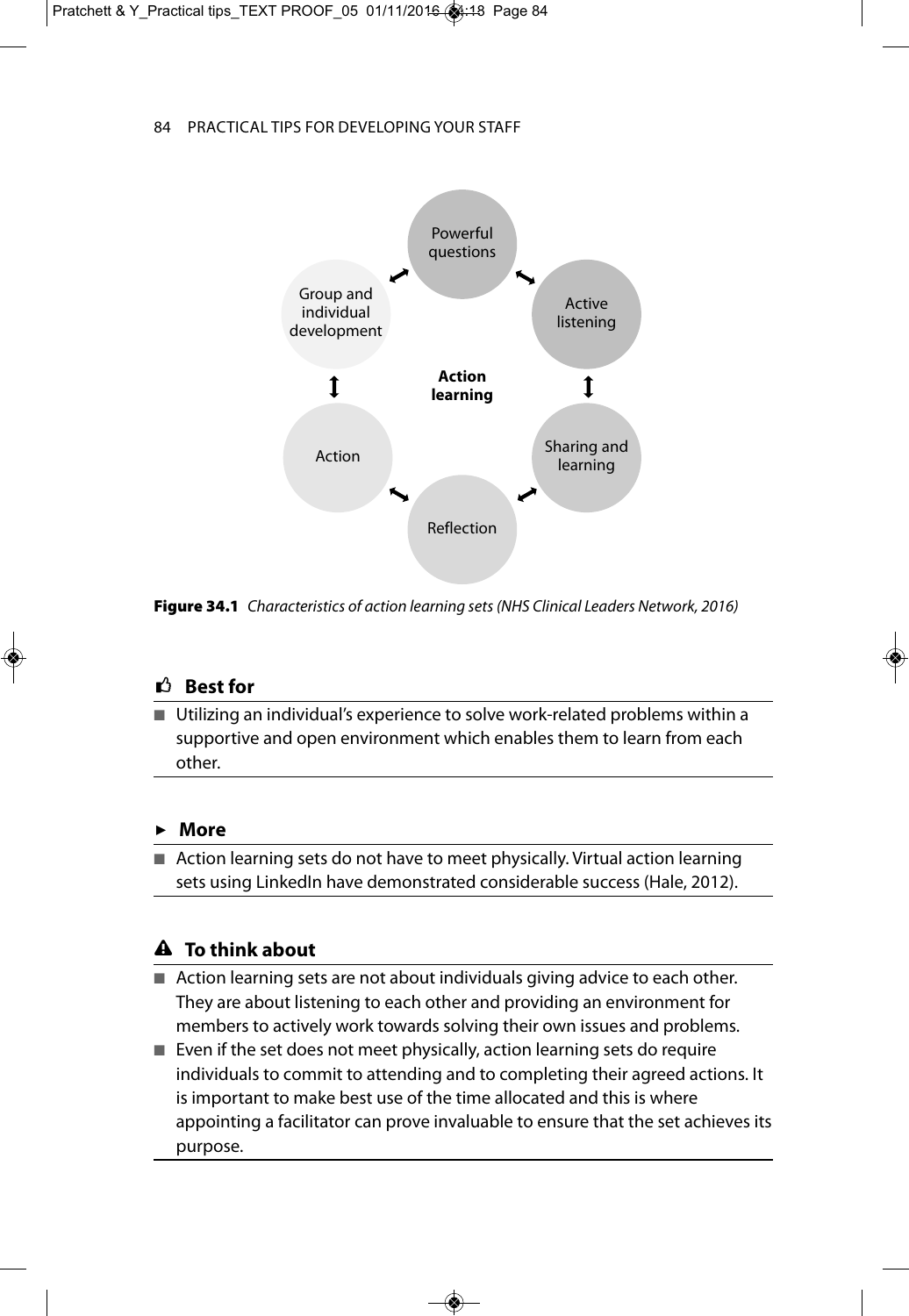

**Figure 34.1** *Characteristics of action learning sets(NHS Clinical Leaders Network, 2016)*

### **i** $\beta$  Best for

■ Utilizing an individual's experience to solve work-related problems within a supportive and open environment which enables them to learn from each other.

### > **More**

■ Action learning sets do not have to meet physically. Virtual action learning sets using LinkedIn have demonstrated considerable success (Hale, 2012).

# ! **To think about**

- Action learning sets are not about individuals giving advice to each other. They are about listening to each other and providing an environment for members to actively work towards solving their own issues and problems.
- Even if the set does not meet physically, action learning sets do require individuals to commit to attending and to completing their agreed actions. It is important to make best use of the time allocated and this is where appointing a facilitator can prove invaluable to ensure that the set achieves its purpose.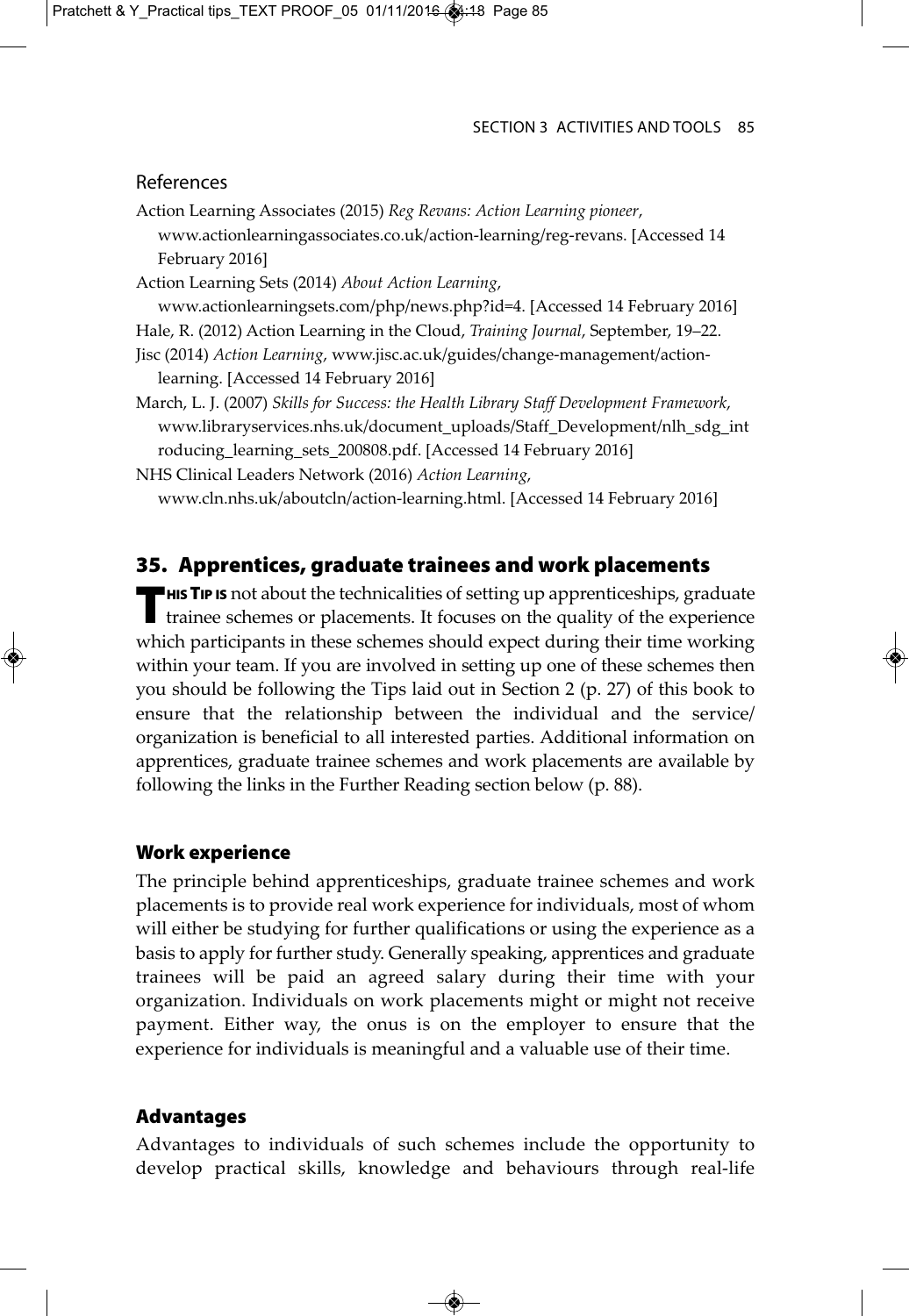#### References

Action Learning Associates (2015) *Reg Revans: Action Learning pioneer*, www.actionlearningassociates.co.uk/action-learning/reg-revans. [Accessed 14 February 2016]

Action Learning Sets (2014) *About Action Learning*,

www.actionlearningsets.com/php/news.php?id=4. [Accessed 14 February 2016]

Hale, R. (2012) Action Learning in the Cloud, *Training Journal*, September, 19–22.

- Jisc (2014) *Action Learning*, www.jisc.ac.uk/guides/change-management/actionlearning. [Accessed 14 February 2016]
- March, L. J. (2007) *Skills for Success: the Health Library Staff Development Framework*, www.libraryservices.nhs.uk/document\_uploads/Staff\_Development/nlh\_sdg\_int roducing\_learning\_sets\_200808.pdf. [Accessed 14 February 2016]

NHS Clinical Leaders Network (2016) *Action Learning*, www.cln.nhs.uk/aboutcln/action-learning.html. [Accessed 14 February 2016]

### **35. Apprentices, graduate trainees and work placements**

**THIS TIP IS** not about the technicalities of setting up apprenticeships, graduate trainee schemes or placements. It focuses on the quality of the experience which participants in these schemes should expect during their time working within your team. If you are involved in setting up one of these schemes then you should be following the Tips laid out in Section 2 (p. 27) of this book to ensure that the relationship between the individual and the service/ organization is beneficial to all interested parties. Additional information on apprentices, graduate trainee schemes and work placements are available by following the links in the Further Reading section below (p. 88).

#### **Work experience**

The principle behind apprenticeships, graduate trainee schemes and work placements is to provide real work experience for individuals, most of whom will either be studying for further qualifications or using the experience as a basis to apply for further study. Generally speaking, apprentices and graduate trainees will be paid an agreed salary during their time with your organization. Individuals on work placements might or might not receive payment. Either way, the onus is on the employer to ensure that the experience for individuals is meaningful and a valuable use of their time.

#### **Advantages**

Advantages to individuals of such schemes include the opportunity to develop practical skills, knowledge and behaviours through real-life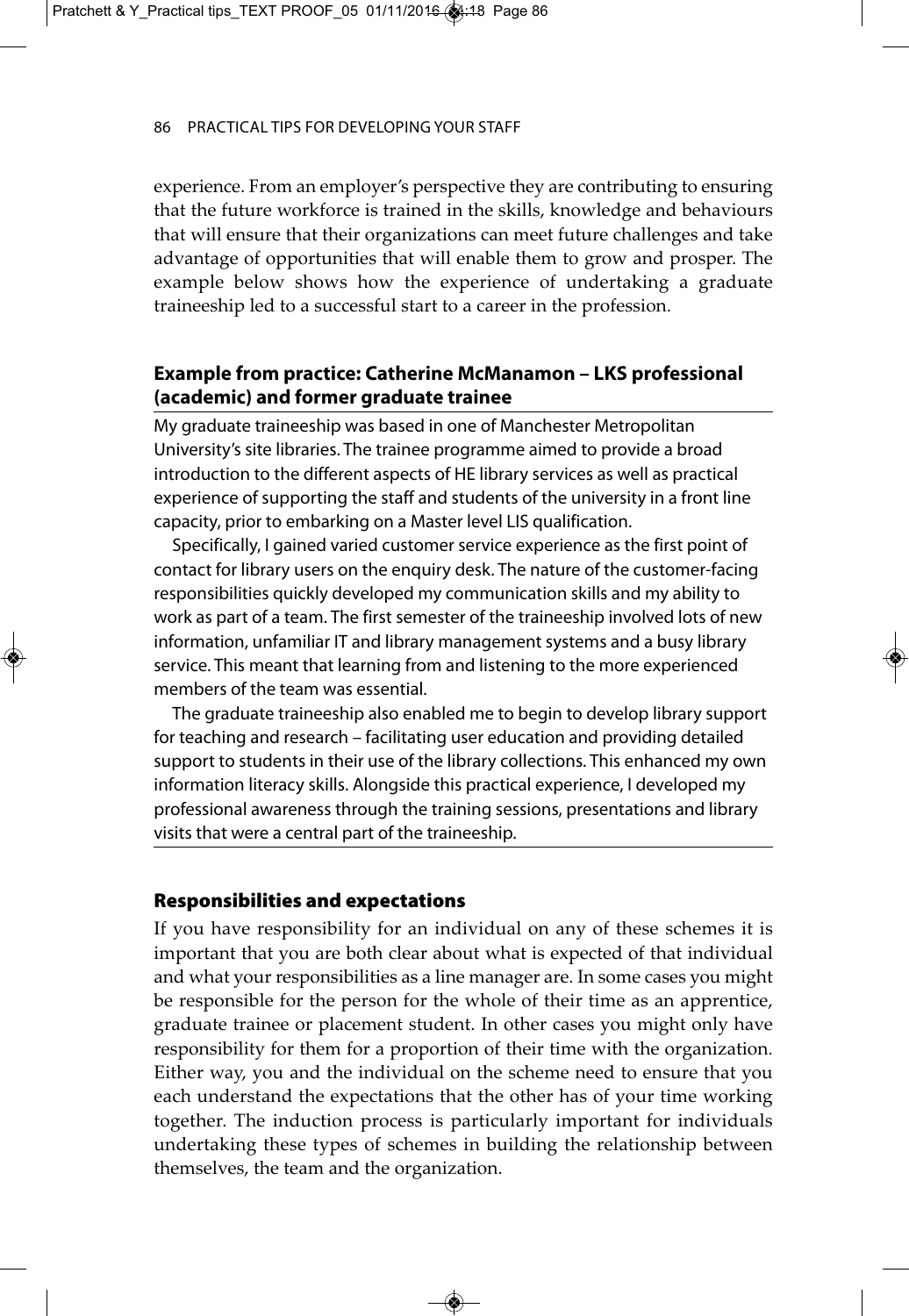experience. From an employer's perspective they are contributing to ensuring that the future workforce is trained in the skills, knowledge and behaviours that will ensure that their organizations can meet future challenges and take advantage of opportunities that will enable them to grow and prosper. The example below shows how the experience of undertaking a graduate traineeship led to a successful start to a career in the profession.

### **Example from practice: Catherine McManamon – LKS professional (academic) and former graduate trainee**

My graduate traineeship was based in one of Manchester Metropolitan University's site libraries. The trainee programme aimed to provide a broad introduction to the different aspects of HE library services as well as practical experience of supporting the staff and students of the university in a front line capacity, prior to embarking on a Master level LIS qualification.

Specifically, I gained varied customer service experience as the first point of contact for library users on the enquiry desk. The nature of the customer-facing responsibilities quickly developed my communication skills and my ability to work as part of a team. The first semester of the traineeship involved lots of new information, unfamiliar IT and library management systems and a busy library service. This meant that learning from and listening to the more experienced members of the team was essential.

The graduate traineeship also enabled me to begin to develop library support for teaching and research – facilitating user education and providing detailed support to students in their use of the library collections. This enhanced my own information literacy skills. Alongside this practical experience, I developed my professional awareness through the training sessions, presentations and library visits that were a central part of the traineeship.

#### **Responsibilities and expectations**

If you have responsibility for an individual on any of these schemes it is important that you are both clear about what is expected of that individual and what your responsibilities as a line manager are. In some cases you might be responsible for the person for the whole of their time as an apprentice, graduate trainee or placement student. In other cases you might only have responsibility for them for a proportion of their time with the organization. Either way, you and the individual on the scheme need to ensure that you each understand the expectations that the other has of your time working together. The induction process is particularly important for individuals undertaking these types of schemes in building the relationship between themselves, the team and the organization.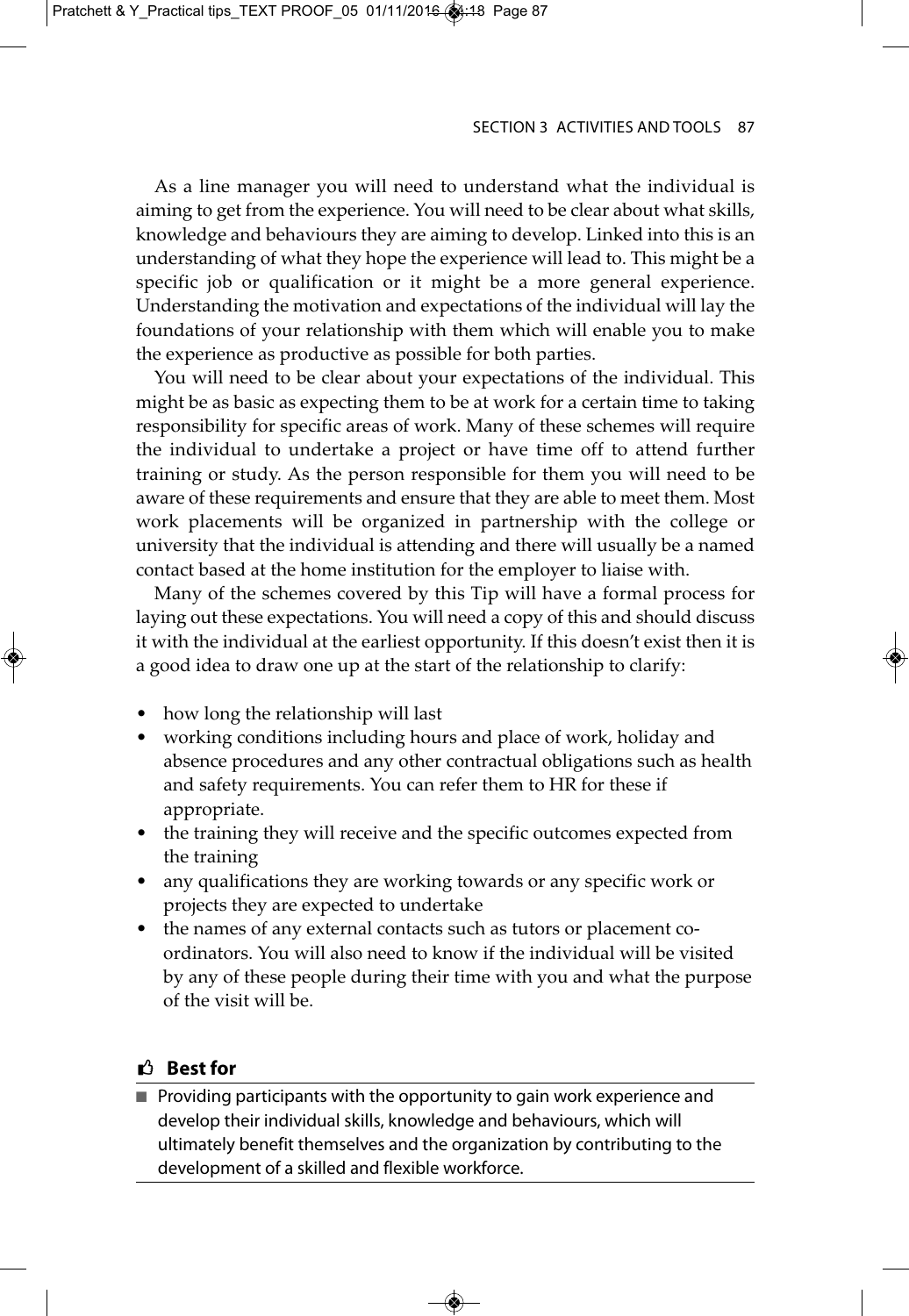As a line manager you will need to understand what the individual is aiming to get from the experience. You will need to be clear about what skills, knowledge and behaviours they are aiming to develop. Linked into this is an understanding of what they hope the experience will lead to. This might be a specific job or qualification or it might be a more general experience. Understanding the motivation and expectations of the individual will lay the foundations of your relationship with them which will enable you to make the experience as productive as possible for both parties.

You will need to be clear about your expectations of the individual. This might be as basic as expecting them to be at work for a certain time to taking responsibility for specific areas of work. Many of these schemes will require the individual to undertake a project or have time off to attend further training or study. As the person responsible for them you will need to be aware of these requirements and ensure that they are able to meet them. Most work placements will be organized in partnership with the college or university that the individual is attending and there will usually be a named contact based at the home institution for the employer to liaise with.

Many of the schemes covered by this Tip will have a formal process for laying out these expectations. You will need a copy of this and should discuss it with the individual at the earliest opportunity. If this doesn't exist then it is a good idea to draw one up at the start of the relationship to clarify:

- how long the relationship will last
- working conditions including hours and place of work, holiday and absence procedures and any other contractual obligations such as health and safety requirements. You can refer them to HR for these if appropriate.
- the training they will receive and the specific outcomes expected from the training
- any qualifications they are working towards or any specific work or projects they are expected to undertake
- the names of any external contacts such as tutors or placement coordinators. You will also need to know if the individual will be visited by any of these people during their time with you and what the purpose of the visit will be.

### **i** $\triangle$  **Best** for

■ Providing participants with the opportunity to gain work experience and develop their individual skills, knowledge and behaviours, which will ultimately benefit themselves and the organization by contributing to the development of a skilled and flexible workforce.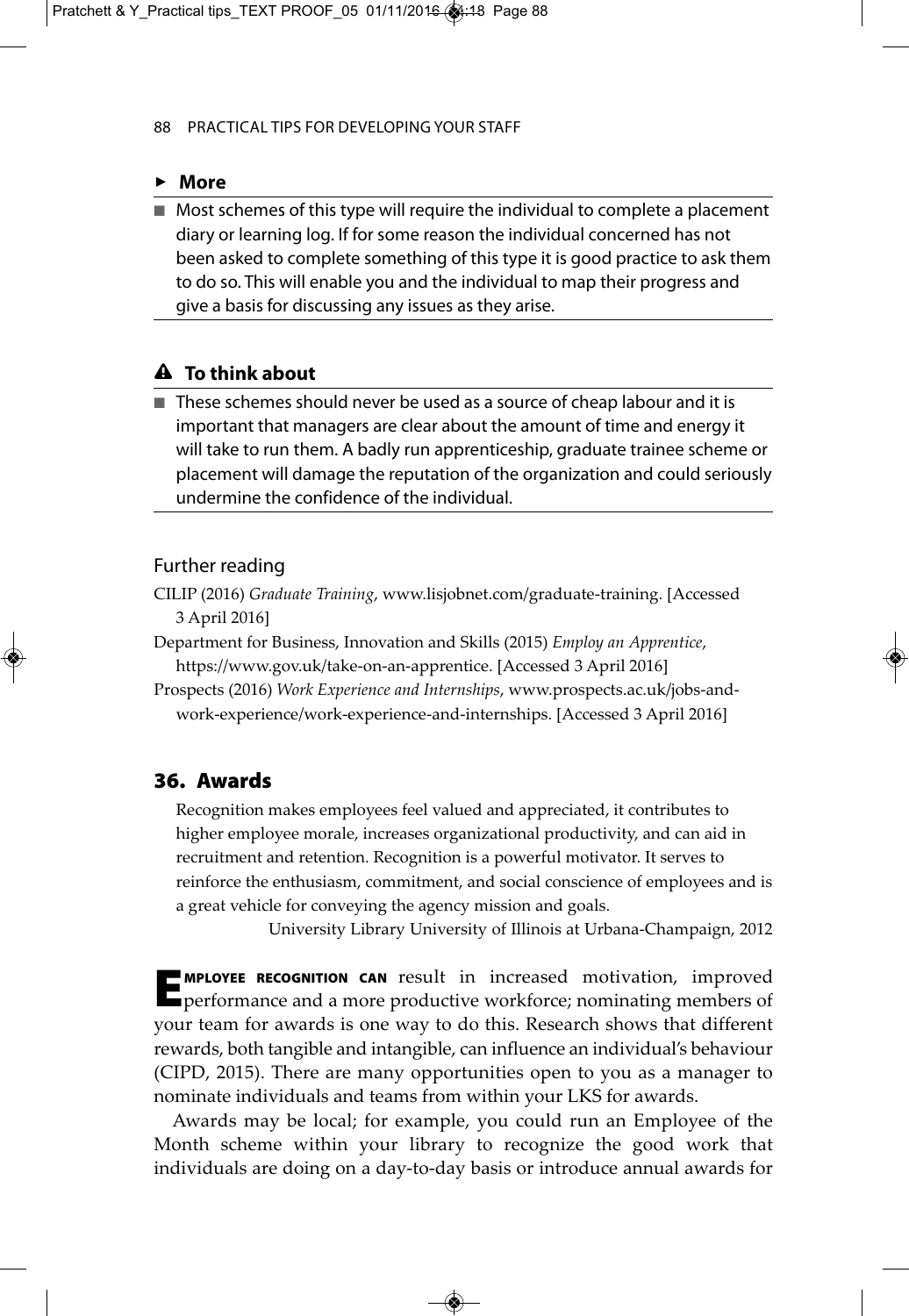#### > **More**

■ Most schemes of this type will require the individual to complete a placement diary or learning log. If for some reason the individual concerned has not been asked to complete something of this type it is good practice to ask them to do so. This will enable you and the individual to map their progress and give a basis for discussing any issues as they arise.

### ! **To think about**

■ These schemes should never be used as a source of cheap labour and it is important that managers are clear about the amount of time and energy it will take to run them. A badly run apprenticeship, graduate trainee scheme or placement will damage the reputation of the organization and could seriously undermine the confidence of the individual.

#### Further reading

- CILIP (2016) *Graduate Training*, www.lisjobnet.com/graduate-training. [Accessed 3 April 2016]
- Department for Business, Innovation and Skills (2015) *Employ an Apprentice*, https://www.gov.uk/take-on-an-apprentice. [Accessed 3 April 2016]
- Prospects (2016) *Work Experience and Internships*, www.prospects.ac.uk/jobs-andwork-experience/work-experience-and-internships. [Accessed 3 April 2016]

#### **36. Awards**

Recognition makes employees feel valued and appreciated, it contributes to higher employee morale, increases organizational productivity, and can aid in recruitment and retention. Recognition is a powerful motivator. It serves to reinforce the enthusiasm, commitment, and social conscience of employees and is a great vehicle for conveying the agency mission and goals.

University Library University of Illinois at Urbana-Champaign, 2012

**EMPLOYEE RECOGNITION CAN** result in increased motivation, improved performance and a more productive workforce; nominating members of your team for awards is one way to do this. Research shows that different rewards, both tangible and intangible, can influence an individual's behaviour (CIPD, 2015). There are many opportunities open to you as a manager to nominate individuals and teams from within your LKS for awards.

Awards may be local; for example, you could run an Employee of the Month scheme within your library to recognize the good work that individuals are doing on a day-to-day basis or introduce annual awards for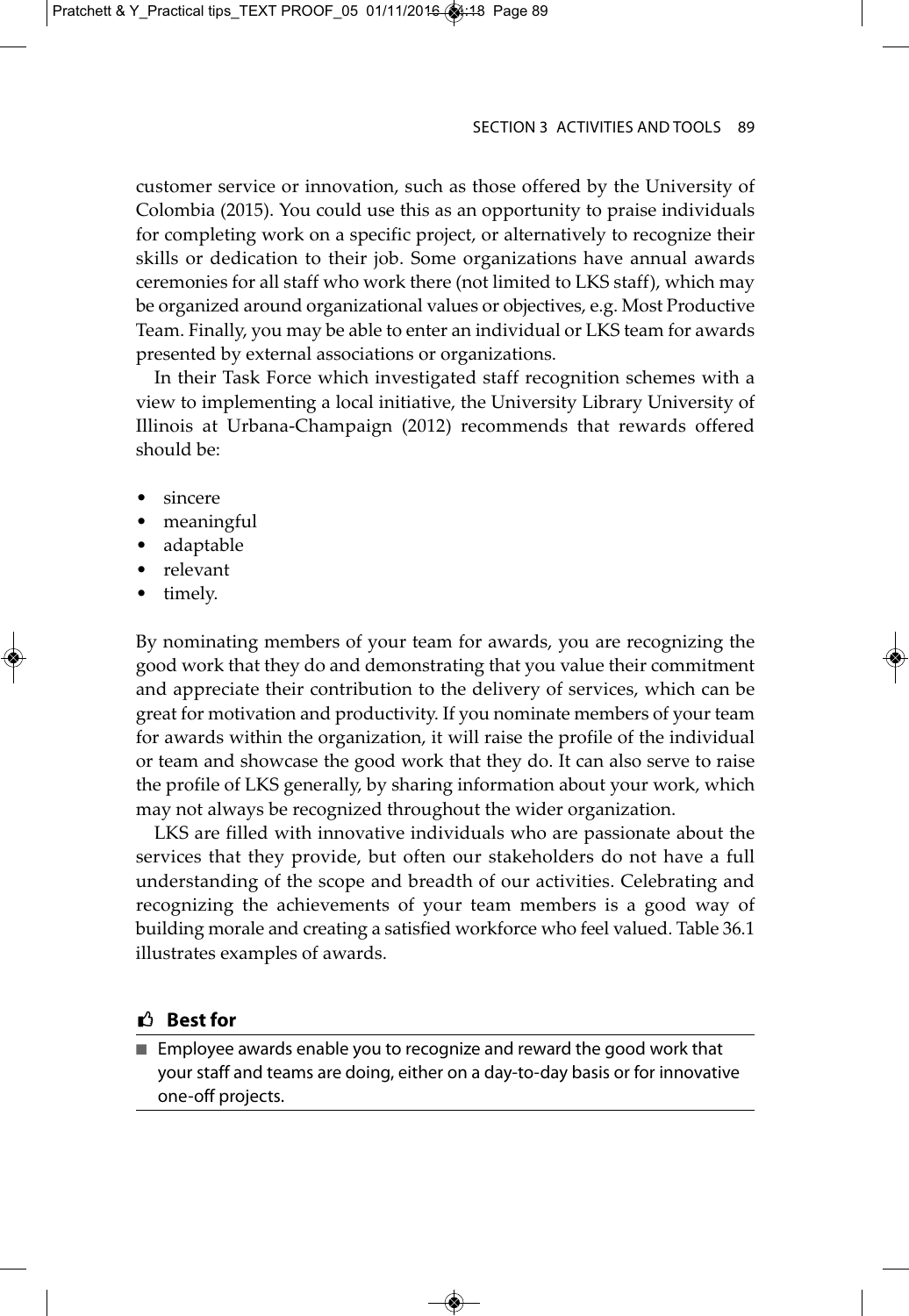customer service or innovation, such as those offered by the University of Colombia (2015). You could use this as an opportunity to praise individuals for completing work on a specific project, or alternatively to recognize their skills or dedication to their job. Some organizations have annual awards ceremonies for all staff who work there (not limited to LKS staff), which may be organized around organizational values or objectives, e.g. Most Productive Team. Finally, you may be able to enter an individual or LKS team for awards presented by external associations or organizations.

In their Task Force which investigated staff recognition schemes with a view to implementing a local initiative, the University Library University of Illinois at Urbana-Champaign (2012) recommends that rewards offered should be:

- sincere
- meaningful
- adaptable
- relevant
- timely.

By nominating members of your team for awards, you are recognizing the good work that they do and demonstrating that you value their commitment and appreciate their contribution to the delivery of services, which can be great for motivation and productivity. If you nominate members of your team for awards within the organization, it will raise the profile of the individual or team and showcase the good work that they do. It can also serve to raise the profile of LKS generally, by sharing information about your work, which may not always be recognized throughout the wider organization.

LKS are filled with innovative individuals who are passionate about the services that they provide, but often our stakeholders do not have a full understanding of the scope and breadth of our activities. Celebrating and recognizing the achievements of your team members is a good way of building morale and creating a satisfied workforce who feel valued. Table 36.1 illustrates examples of awards.

#### **Best** for

■ Employee awards enable you to recognize and reward the good work that your staff and teams are doing, either on a day-to-day basis or for innovative one-off projects.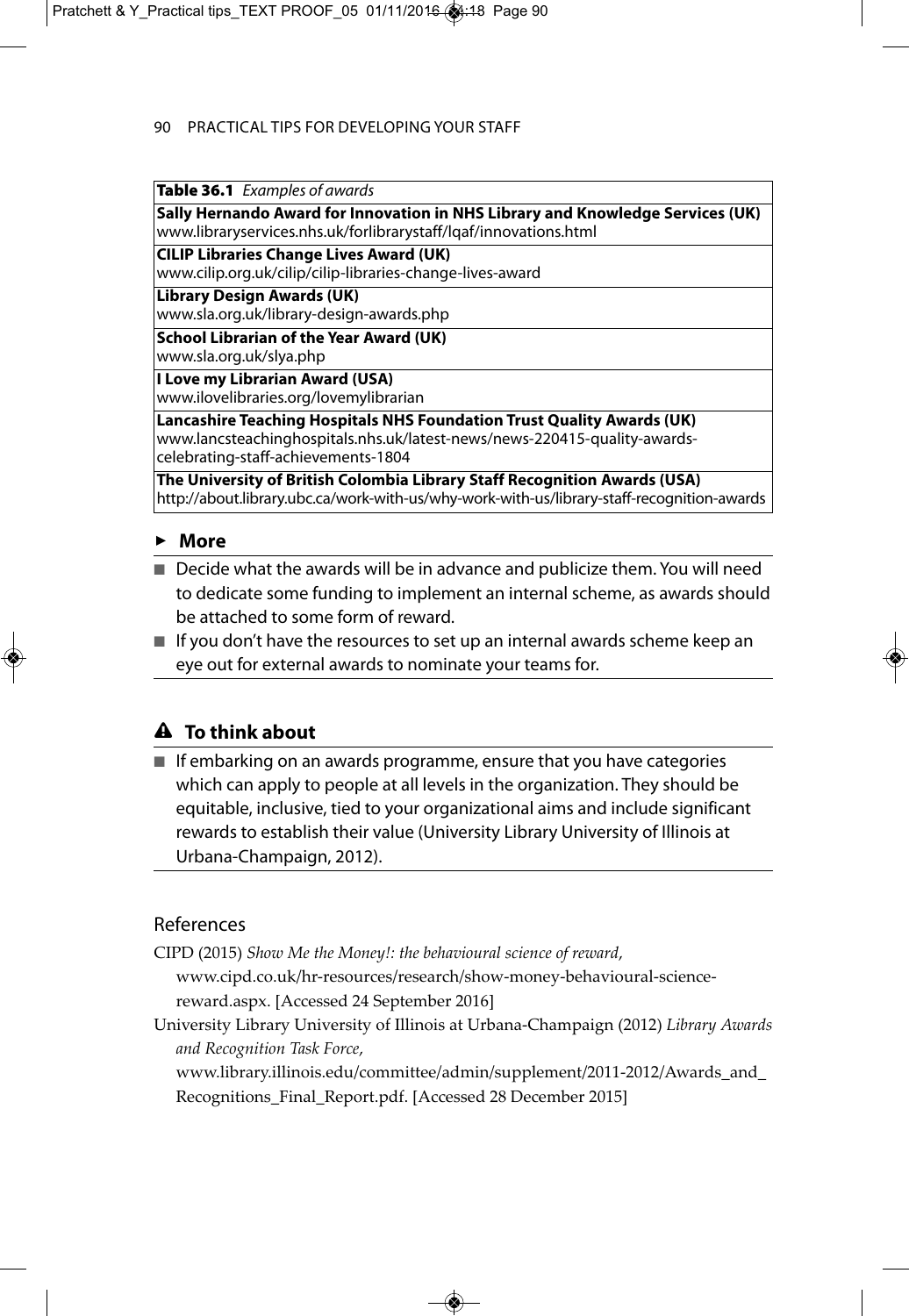**Table 36.1** *Examples of awards*

**Sally Hernando Award for Innovation in NHS Library and Knowledge Services (UK)** www.libraryservices.nhs.uk/forlibrarystaff/lqaf/innovations.html

**CILIP Libraries Change Lives Award (UK)**

www.cilip.org.uk/cilip/cilip-libraries-change-lives-award

**Library Design Awards (UK)** www.sla.org.uk/library-design-awards.php

**School Librarian of the Year Award (UK)**

www.sla.org.uk/slya.php

**I Love my Librarian Award (USA)**

www.ilovelibraries.org/lovemylibrarian

**Lancashire Teaching Hospitals NHS Foundation Trust Quality Awards (UK)** www.lancsteachinghospitals.nhs.uk/latest-news/news-220415-quality-awardscelebrating-staff-achievements-1804

**The University of British Colombia Library Staff Recognition Awards (USA)** http://about.library.ubc.ca/work-with-us/why-work-with-us/library-staff-recognition-awards

### > **More**

- Decide what the awards will be in advance and publicize them. You will need to dedicate some funding to implement an internal scheme, as awards should be attached to some form of reward.
- If you don't have the resources to set up an internal awards scheme keep an eye out for external awards to nominate your teams for.

# ! **To think about**

■ If embarking on an awards programme, ensure that you have categories which can apply to people at all levels in the organization. They should be equitable, inclusive, tied to your organizational aims and include significant rewards to establish their value (University Library University of Illinois at Urbana-Champaign, 2012).

### References

CIPD (2015) *Show Me the Money!: the behavioural science of reward*,

www.cipd.co.uk/hr-resources/research/show-money-behavioural-sciencereward.aspx. [Accessed 24 September 2016]

University Library University of Illinois at Urbana-Champaign (2012) *Library Awards and Recognition Task Force*,

www.library.illinois.edu/committee/admin/supplement/2011-2012/Awards\_and\_ Recognitions\_Final\_Report.pdf. [Accessed 28 December 2015]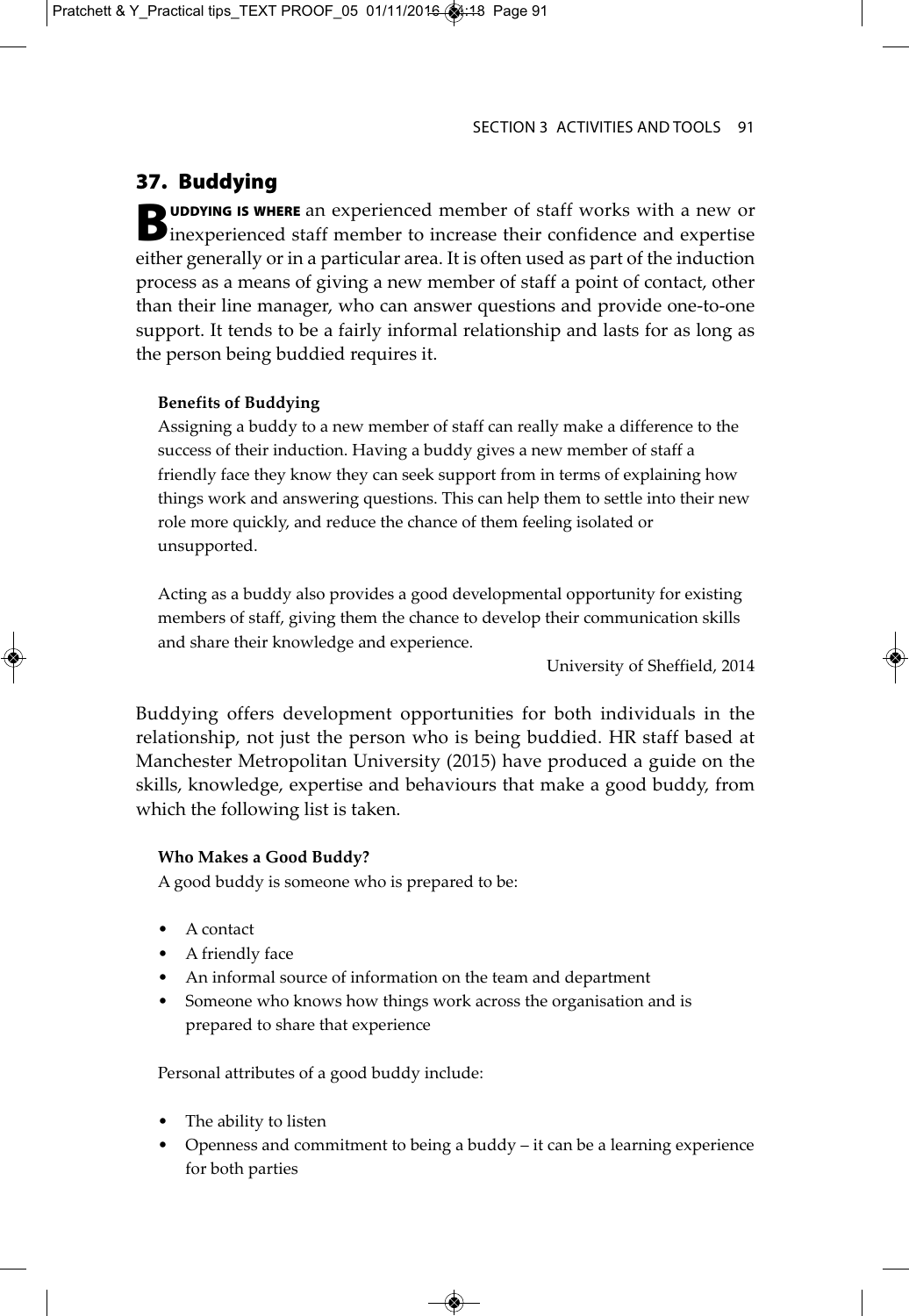# **37. Buddying**

**BUDDYING** IS WHERE an experienced member of staff works with a new or inexperienced staff member to increase their confidence and expertise either generally or in a particular area. It is often used as part of the induction process as a means of giving a new member of staff a point of contact, other than their line manager, who can answer questions and provide one-to-one support. It tends to be a fairly informal relationship and lasts for as long as the person being buddied requires it.

### **Benefits of Buddying**

Assigning a buddy to a new member of staff can really make a difference to the success of their induction. Having a buddy gives a new member of staff a friendly face they know they can seek support from in terms of explaining how things work and answering questions. This can help them to settle into their new role more quickly, and reduce the chance of them feeling isolated or unsupported.

Acting as a buddy also provides a good developmental opportunity for existing members of staff, giving them the chance to develop their communication skills and share their knowledge and experience.

University of Sheffield, 2014

Buddying offers development opportunities for both individuals in the relationship, not just the person who is being buddied. HR staff based at Manchester Metropolitan University (2015) have produced a guide on the skills, knowledge, expertise and behaviours that make a good buddy, from which the following list is taken.

### **Who Makes a Good Buddy?**

A good buddy is someone who is prepared to be:

- A contact
- A friendly face
- An informal source of information on the team and department
- Someone who knows how things work across the organisation and is prepared to share that experience

Personal attributes of a good buddy include:

- The ability to listen
- Openness and commitment to being a buddy it can be a learning experience for both parties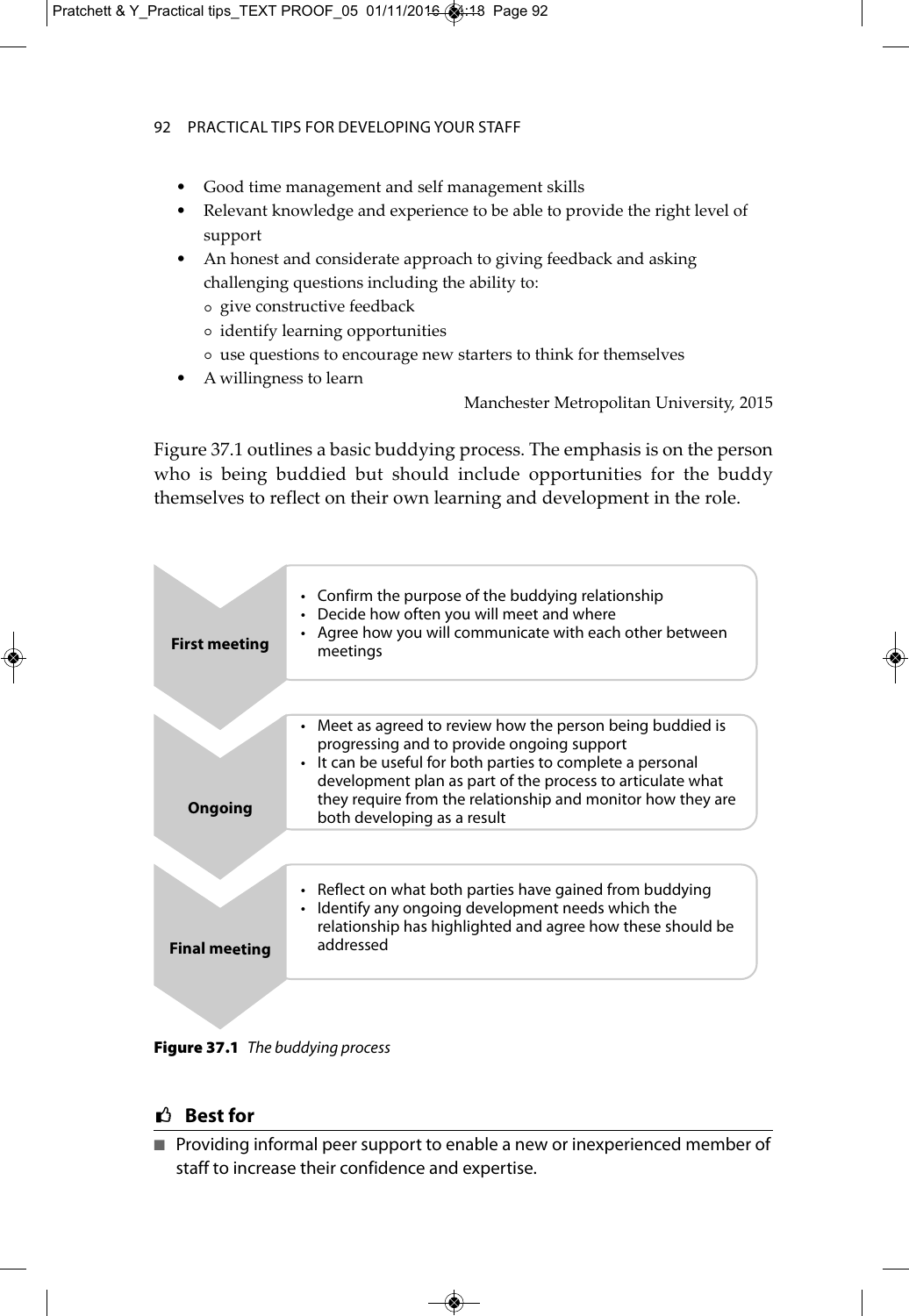#### 92 PRACTICAL TIPS FOR DEVELOPING YOUR STAFF

- Good time management and self management skills
- Relevant knowledge and experience to be able to provide the right level of support
- An honest and considerate approach to giving feedback and asking challenging questions including the ability to:
	- ° give constructive feedback
	- ° identify learning opportunities
	- ° use questions to encourage new starters to think for themselves
- A willingness to learn

Manchester Metropolitan University, 2015

Figure 37.1 outlines a basic buddying process. The emphasis is on the person who is being buddied but should include opportunities for the buddy themselves to reflect on their own learning and development in the role.

| <b>First meeting</b> | • Confirm the purpose of the buddying relationship<br>Decide how often you will meet and where<br>Agree how you will communicate with each other between<br>meetings                                                                                                                                                             |
|----------------------|----------------------------------------------------------------------------------------------------------------------------------------------------------------------------------------------------------------------------------------------------------------------------------------------------------------------------------|
|                      |                                                                                                                                                                                                                                                                                                                                  |
| Ongoing              | Meet as agreed to review how the person being buddied is<br>progressing and to provide ongoing support<br>• It can be useful for both parties to complete a personal<br>development plan as part of the process to articulate what<br>they require from the relationship and monitor how they are<br>both developing as a result |
|                      |                                                                                                                                                                                                                                                                                                                                  |
| <b>Final meeting</b> | • Reflect on what both parties have gained from buddying<br>Identify any ongoing development needs which the<br>relationship has highlighted and agree how these should be<br>addressed                                                                                                                                          |
|                      |                                                                                                                                                                                                                                                                                                                                  |

**Figure 37.1** *The buddying process*

### **i** $\theta$  **Best** for

■ Providing informal peer support to enable a new or inexperienced member of staff to increase their confidence and expertise.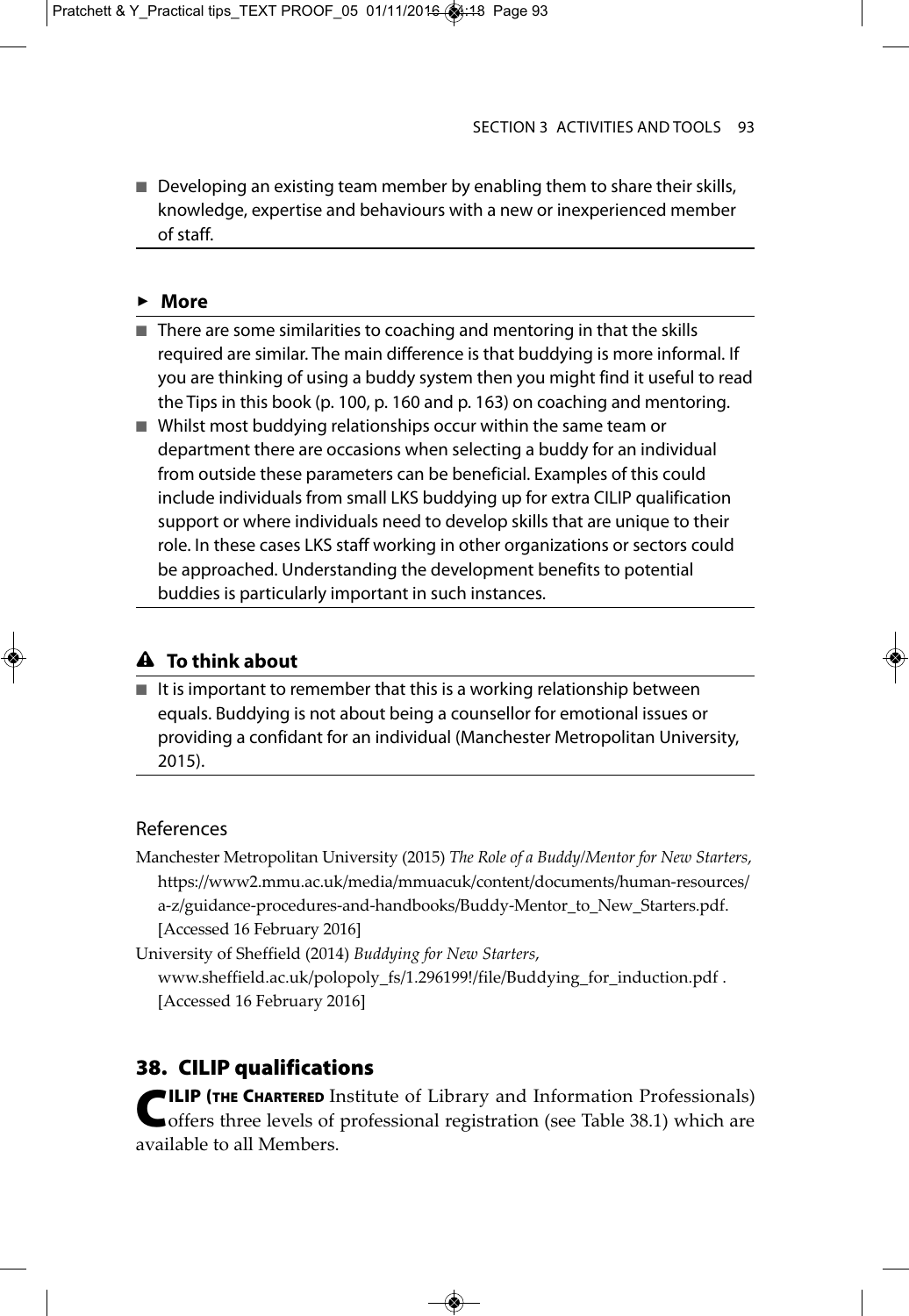■ Developing an existing team member by enabling them to share their skills, knowledge, expertise and behaviours with a new or inexperienced member of staff.

### > **More**

- There are some similarities to coaching and mentoring in that the skills required are similar. The main difference is that buddying is more informal. If you are thinking of using a buddy system then you might find it useful to read the Tips in this book (p. 100, p. 160 and p. 163) on coaching and mentoring.
- Whilst most buddying relationships occur within the same team or department there are occasions when selecting a buddy for an individual from outside these parameters can be beneficial. Examples of this could include individuals from small LKS buddying up for extra CILIP qualification support or where individuals need to develop skills that are unique to their role. In these cases LKS staff working in other organizations or sectors could be approached. Understanding the development benefits to potential buddies is particularly important in such instances.

# ! **To think about**

■ It is important to remember that this is a working relationship between equals. Buddying is not about being a counsellor for emotional issues or providing a confidant for an individual (Manchester Metropolitan University, 2015).

### References

Manchester Metropolitan University (2015) *The Role of a Buddy/Mentor for New Starters*, https://www2.mmu.ac.uk/media/mmuacuk/content/documents/human-resources/ a-z/guidance-procedures-and-handbooks/Buddy-Mentor\_to\_New\_Starters.pdf. [Accessed 16 February 2016]

University of Sheffield (2014) *Buddying for New Starters*,

www.sheffield.ac.uk/polopoly\_fs/1.296199!/file/Buddying\_for\_induction.pdf . [Accessed 16 February 2016]

# **38. CILIP qualifications**

**CILIP (THE CHARTERED** Institute of Library and Information Professionals) offers three levels of professional registration (see Table 38.1) which are available to all Members.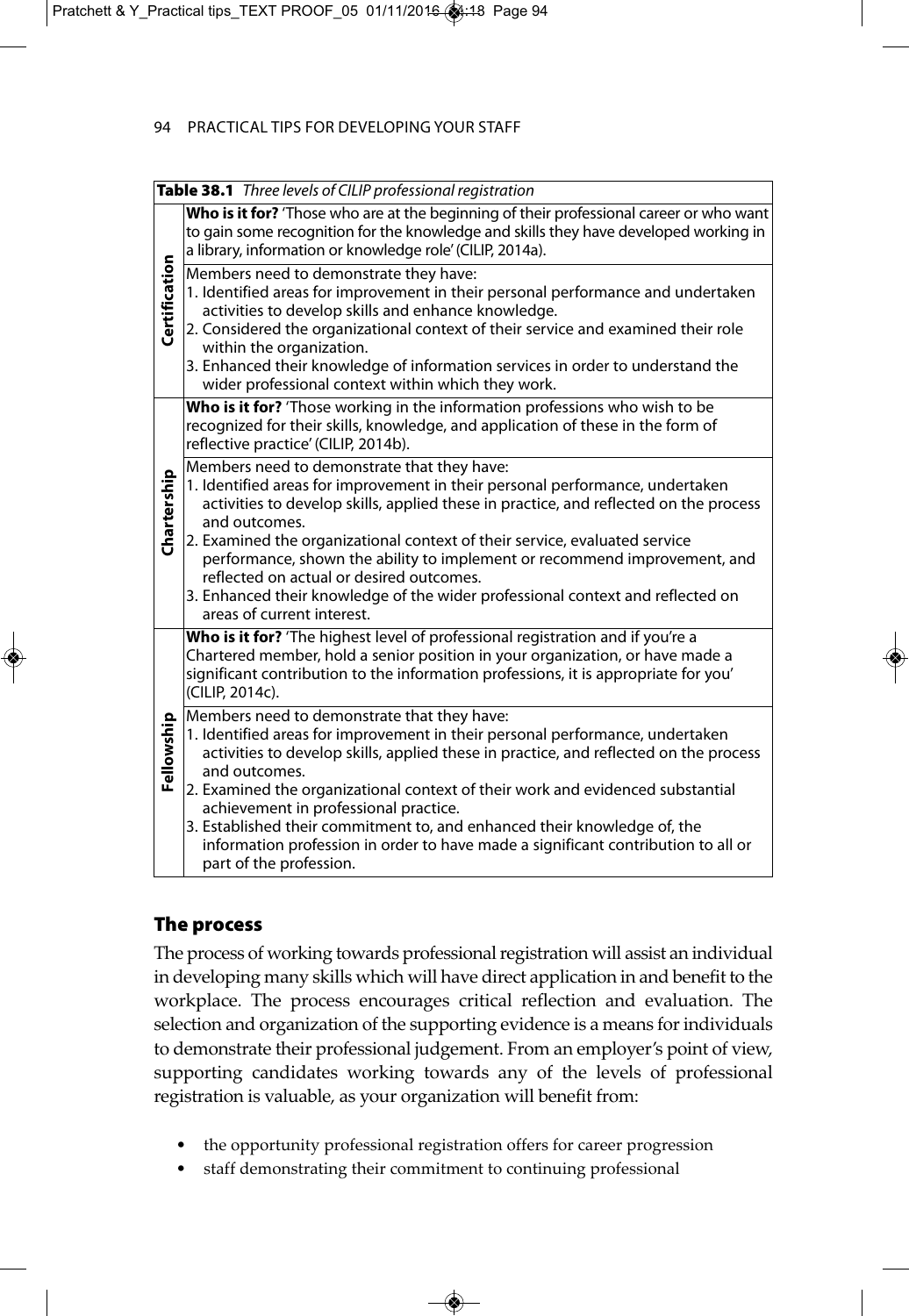|               | <b>Table 38.1</b> Three levels of CILIP professional registration                                                                                                                                                                                                                                                                                                                                                                                                                                                                                             |
|---------------|---------------------------------------------------------------------------------------------------------------------------------------------------------------------------------------------------------------------------------------------------------------------------------------------------------------------------------------------------------------------------------------------------------------------------------------------------------------------------------------------------------------------------------------------------------------|
|               | Who is it for? 'Those who are at the beginning of their professional career or who want<br>to gain some recognition for the knowledge and skills they have developed working in<br>a library, information or knowledge role' (CILIP, 2014a).                                                                                                                                                                                                                                                                                                                  |
| Certification | Members need to demonstrate they have:<br>1. Identified areas for improvement in their personal performance and undertaken<br>activities to develop skills and enhance knowledge.<br>2. Considered the organizational context of their service and examined their role<br>within the organization.<br>3. Enhanced their knowledge of information services in order to understand the<br>wider professional context within which they work.                                                                                                                    |
|               | Who is it for? 'Those working in the information professions who wish to be<br>recognized for their skills, knowledge, and application of these in the form of<br>reflective practice' (CILIP, 2014b).                                                                                                                                                                                                                                                                                                                                                        |
| Chartership   | Members need to demonstrate that they have:<br>1. Identified areas for improvement in their personal performance, undertaken<br>activities to develop skills, applied these in practice, and reflected on the process<br>and outcomes.<br>2. Examined the organizational context of their service, evaluated service<br>performance, shown the ability to implement or recommend improvement, and<br>reflected on actual or desired outcomes.<br>3. Enhanced their knowledge of the wider professional context and reflected on<br>areas of current interest. |
|               | Who is it for? 'The highest level of professional registration and if you're a<br>Chartered member, hold a senior position in your organization, or have made a<br>significant contribution to the information professions, it is appropriate for you'<br>(CILIP, 2014c).                                                                                                                                                                                                                                                                                     |
| Fellowship    | Members need to demonstrate that they have:<br>1. Identified areas for improvement in their personal performance, undertaken<br>activities to develop skills, applied these in practice, and reflected on the process<br>and outcomes.<br>2. Examined the organizational context of their work and evidenced substantial<br>achievement in professional practice.<br>3. Established their commitment to, and enhanced their knowledge of, the<br>information profession in order to have made a significant contribution to all or<br>part of the profession. |

### **The process**

The process of working towards professional registration will assist an individual in developing many skills which will have direct application in and benefit to the workplace. The process encourages critical reflection and evaluation. The selection and organization of the supporting evidence is a means for individuals to demonstrate their professional judgement. From an employer's point of view, supporting candidates working towards any of the levels of professional registration is valuable, as your organization will benefit from:

- the opportunity professional registration offers for career progression
- staff demonstrating their commitment to continuing professional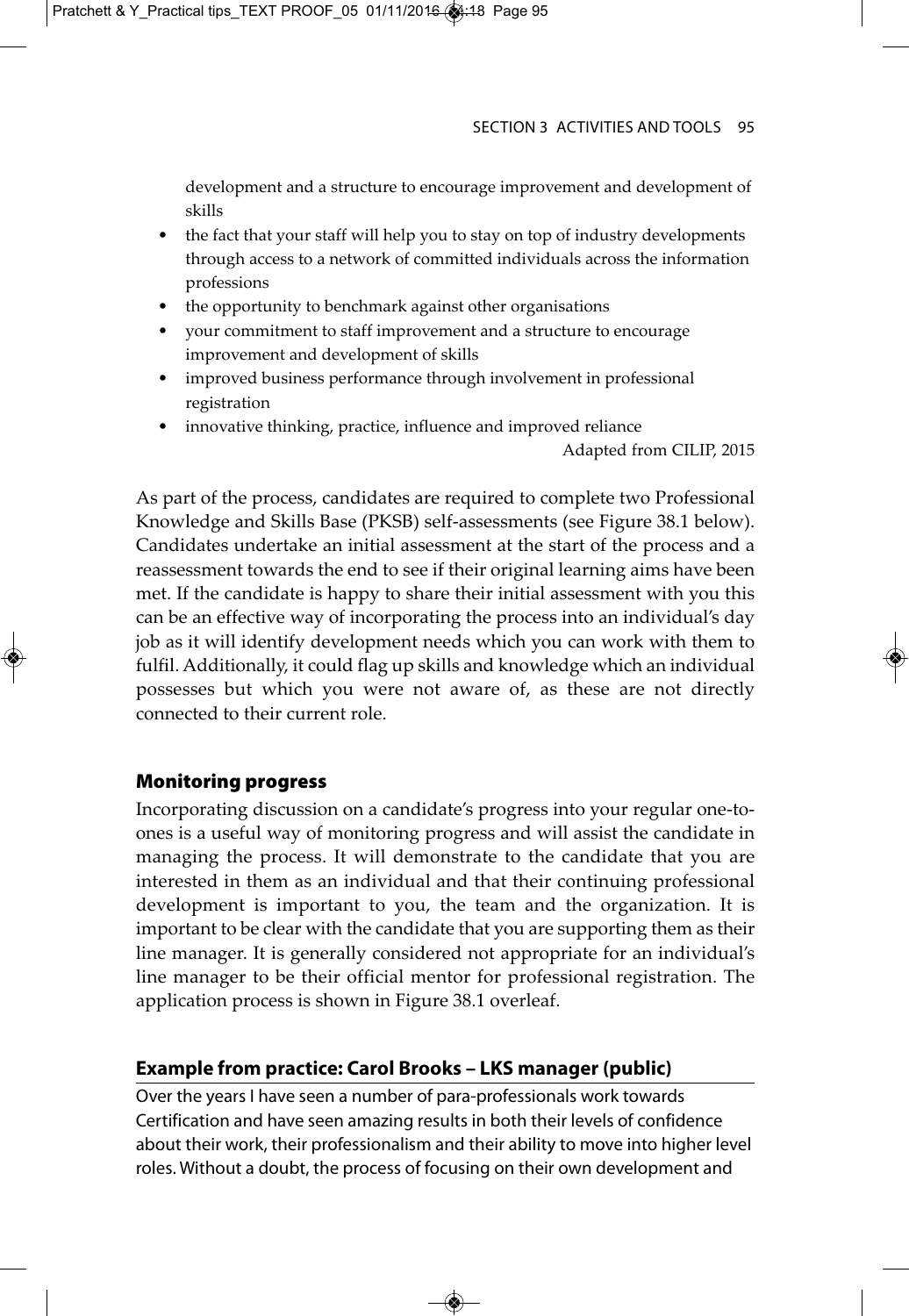development and a structure to encourage improvement and development of skills

- the fact that your staff will help you to stay on top of industry developments through access to a network of committed individuals across the information professions
- the opportunity to benchmark against other organisations
- your commitment to staff improvement and a structure to encourage improvement and development of skills
- improved business performance through involvement in professional registration
- innovative thinking, practice, influence and improved reliance

Adapted from CILIP, 2015

As part of the process, candidates are required to complete two Professional Knowledge and Skills Base (PKSB) self-assessments (see Figure 38.1 below). Candidates undertake an initial assessment at the start of the process and a reassessment towards the end to see if their original learning aims have been met. If the candidate is happy to share their initial assessment with you this can be an effective way of incorporating the process into an individual's day job as it will identify development needs which you can work with them to fulfil. Additionally, it could flag up skills and knowledge which an individual possesses but which you were not aware of, as these are not directly connected to their current role.

### **Monitoring progress**

Incorporating discussion on a candidate's progress into your regular one-toones is a useful way of monitoring progress and will assist the candidate in managing the process. It will demonstrate to the candidate that you are interested in them as an individual and that their continuing professional development is important to you, the team and the organization. It is important to be clear with the candidate that you are supporting them as their line manager. It is generally considered not appropriate for an individual's line manager to be their official mentor for professional registration. The application process is shown in Figure 38.1 overleaf.

### **Example from practice: Carol Brooks – LKS manager (public)**

Over the years I have seen a number of para-professionals work towards Certification and have seen amazing results in both their levels of confidence about their work, their professionalism and their ability to move into higher level roles. Without a doubt, the process of focusing on their own development and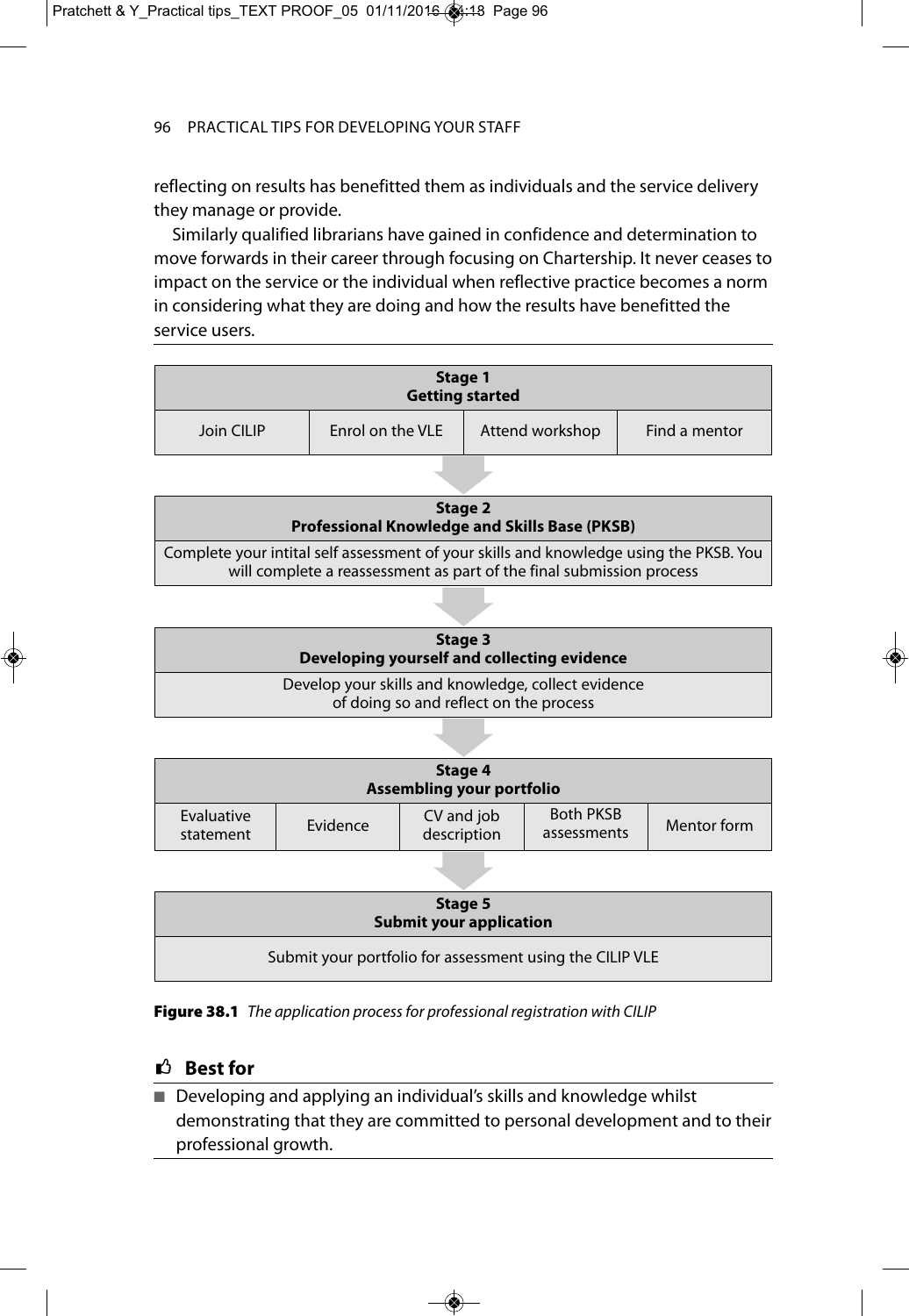reflecting on results has benefitted them as individuals and the service delivery they manage or provide.

Similarly qualified librarians have gained in confidence and determination to move forwards in their career through focusing on Chartership. It never ceases to impact on the service or the individual when reflective practice becomes a norm in considering what they are doing and how the results have benefitted the service users.



| Stage 2<br><b>Professional Knowledge and Skills Base (PKSB)</b>                                                                                                |
|----------------------------------------------------------------------------------------------------------------------------------------------------------------|
| Complete your intital self assessment of your skills and knowledge using the PKSB. You<br>will complete a reassessment as part of the final submission process |

| Stage 3<br>Developing yourself and collecting evidence                                        |
|-----------------------------------------------------------------------------------------------|
| Develop your skills and knowledge, collect evidence<br>of doing so and reflect on the process |

| Stage 4<br>Assembling your portfolio |          |                           |                                 |             |
|--------------------------------------|----------|---------------------------|---------------------------------|-------------|
| Evaluative<br>statement              | Evidence | CV and job<br>description | <b>Both PKSB</b><br>assessments | Mentor form |

| Stage 5<br><b>Submit your application</b>                |
|----------------------------------------------------------|
| Submit your portfolio for assessment using the CILIP VLE |

**Figure 38.1** *The application processfor professional registration with CILIP*

### **i** $\beta$  Best for

■ Developing and applying an individual's skills and knowledge whilst demonstrating that they are committed to personal development and to their professional growth.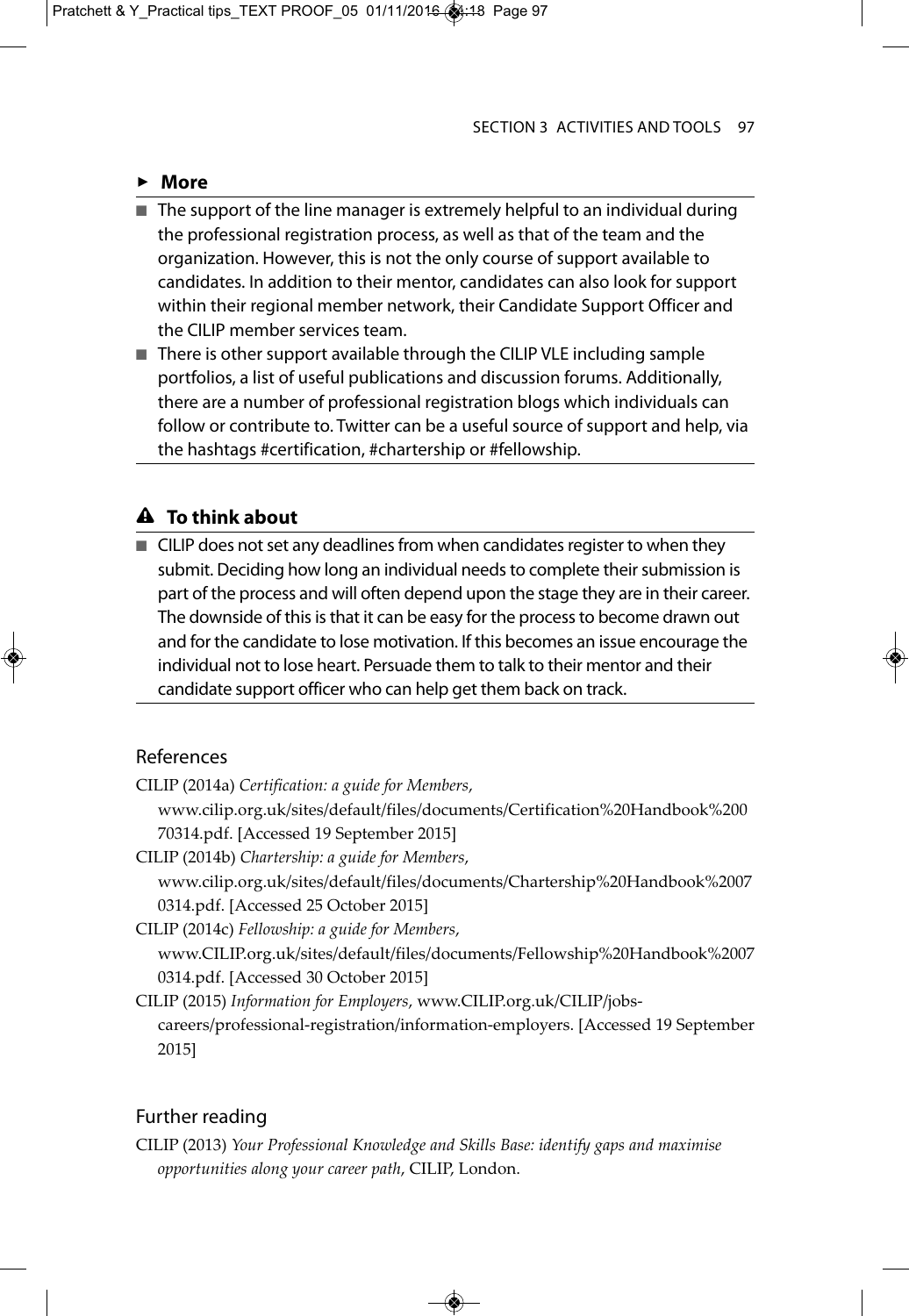### > **More**

- $\blacksquare$  The support of the line manager is extremely helpful to an individual during the professional registration process, as well as that of the team and the organization. However, this is not the only course of support available to candidates. In addition to their mentor, candidates can also look for support within their regional member network, their Candidate Support Officer and the CILIP member services team.
- There is other support available through the CILIP VLE including sample portfolios, a list of useful publications and discussion forums. Additionally, there are a number of professional registration blogs which individuals can follow or contribute to. Twitter can be a useful source of support and help, via the hashtags #certification, #chartership or #fellowship.

### ! **To think about**

■ CILIP does not set any deadlines from when candidates register to when they submit. Deciding how long an individual needs to complete their submission is part of the process and will often depend upon the stage they are in their career. The downside of this is that it can be easy for the process to become drawn out and for the candidate to lose motivation. If this becomes an issue encourage the individual not to lose heart. Persuade them to talk to their mentor and their candidate support officer who can help get them back on track.

### References

CILIP (2014a) *Certification: a guide for Members*,

www.cilip.org.uk/sites/default/files/documents/Certification%20Handbook%200 70314.pdf. [Accessed 19 September 2015]

CILIP (2014b) *Chartership: a guide for Members*, www.cilip.org.uk/sites/default/files/documents/Chartership%20Handbook%2007 0314.pdf. [Accessed 25 October 2015]

CILIP (2014c) *Fellowship: a guide for Members*,

www.CILIP.org.uk/sites/default/files/documents/Fellowship%20Handbook%2007 0314.pdf. [Accessed 30 October 2015]

CILIP (2015) *Information for Employers*, www.CILIP.org.uk/CILIP/jobscareers/professional-registration/information-employers. [Accessed 19 September 2015]

### Further reading

CILIP (2013) *Your Professional Knowledge and Skills Base: identify gaps and maximise opportunities along your career path*, CILIP, London.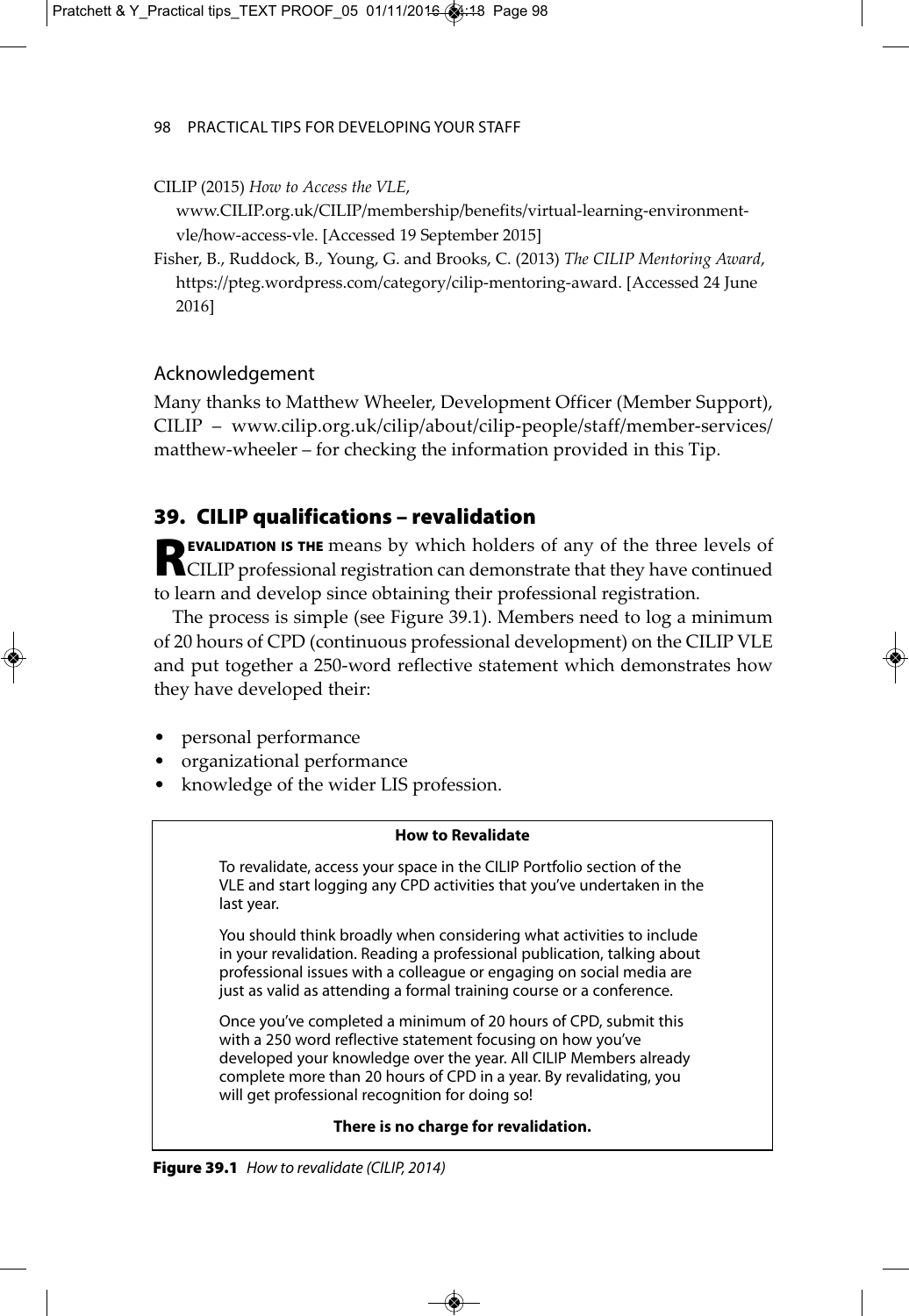CILIP (2015) *How to Access the VLE*,

www.CILIP.org.uk/CILIP/membership/benefits/virtual-learning-environmentvle/how-access-vle. [Accessed 19 September 2015]

Fisher, B., Ruddock, B., Young, G. and Brooks, C. (2013) *The CILIP Mentoring Award*, https://pteg.wordpress.com/category/cilip-mentoring-award. [Accessed 24 June 2016]

### Acknowledgement

Many thanks to Matthew Wheeler, Development Officer (Member Support), CILIP – www.cilip.org.uk/cilip/about/cilip-people/staff/member-services/ matthew-wheeler – for checking the information provided in this Tip.

# **39. CILIP qualifications – revalidation**

**REVALIDATION IS THE** means by which holders of any of the three levels of **RCILIP** professional registration can demonstrate that they have continued to learn and develop since obtaining their professional registration.

The process is simple (see Figure 39.1). Members need to log a minimum of 20 hours of CPD (continuous professional development) on the CILIP VLE and put together a 250-word reflective statement which demonstrates how they have developed their:

- personal performance
- organizational performance
- knowledge of the wider LIS profession.

#### **How to Revalidate**

To revalidate, access your space in the CILIP Portfolio section of the VLE and start logging any CPD activities that you've undertaken in the last year.

You should think broadly when considering what activities to include in your revalidation. Reading a professional publication, talking about professional issues with a colleague or engaging on social media are just as valid as attending a formal training course or a conference.

Once you've completed a minimum of 20 hours of CPD, submit this with a 250 word reflective statement focusing on how you've developed your knowledge over the year. All CILIP Members already complete more than 20 hours of CPD in a year. By revalidating, you will get professional recognition for doing so!

### **There is no charge for revalidation.**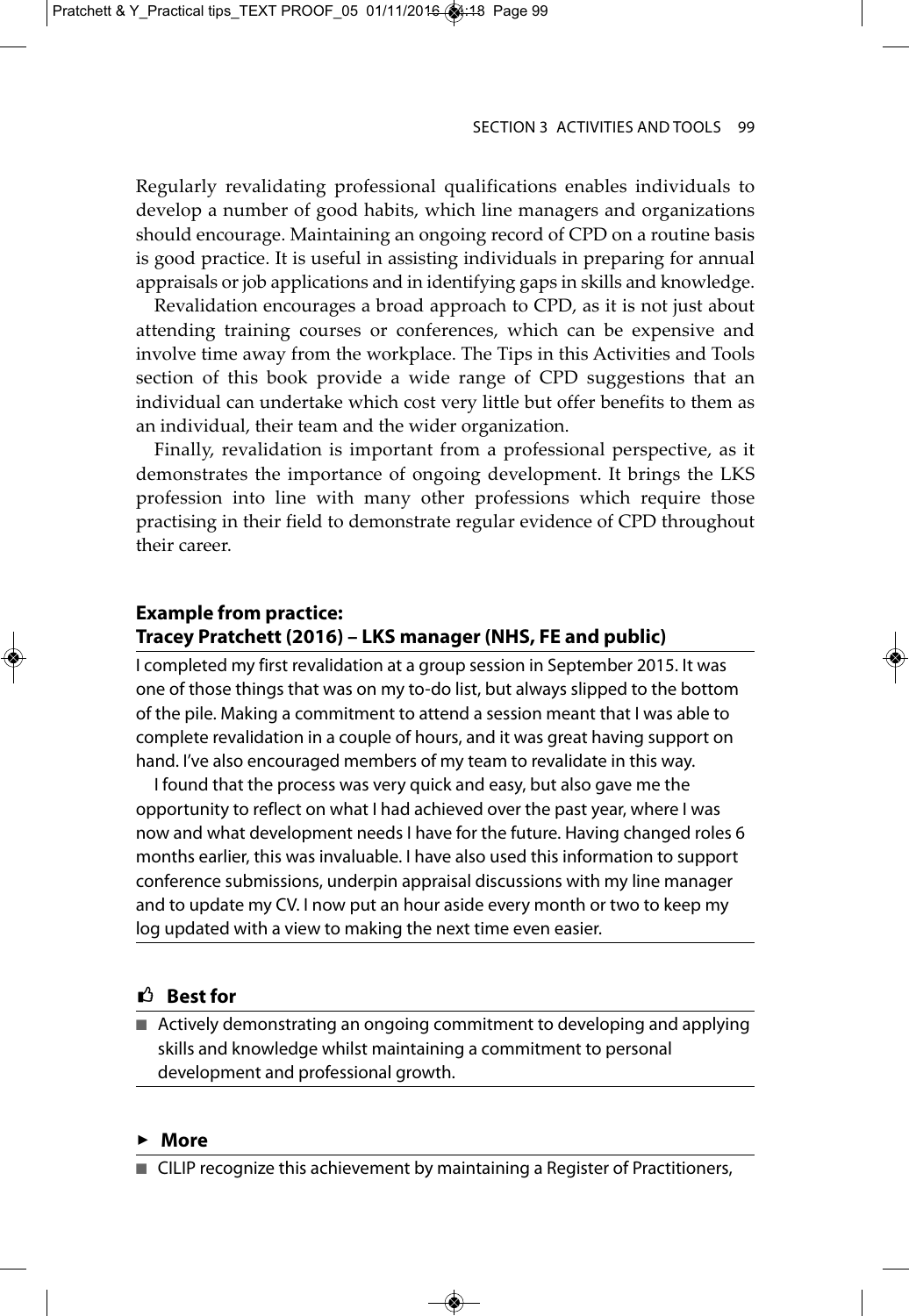Regularly revalidating professional qualifications enables individuals to develop a number of good habits, which line managers and organizations should encourage. Maintaining an ongoing record of CPD on a routine basis is good practice. It is useful in assisting individuals in preparing for annual appraisals or job applications and in identifying gaps in skills and knowledge.

Revalidation encourages a broad approach to CPD, as it is not just about attending training courses or conferences, which can be expensive and involve time away from the workplace. The Tips in this Activities and Tools section of this book provide a wide range of CPD suggestions that an individual can undertake which cost very little but offer benefits to them as an individual, their team and the wider organization.

Finally, revalidation is important from a professional perspective, as it demonstrates the importance of ongoing development. It brings the LKS profession into line with many other professions which require those practising in their field to demonstrate regular evidence of CPD throughout their career.

### **Example from practice: Tracey Pratchett (2016) – LKS manager (NHS, FE and public)**

I completed my first revalidation at a group session in September 2015. It was one of those things that was on my to-do list, but always slipped to the bottom of the pile. Making a commitment to attend a session meant that I was able to complete revalidation in a couple of hours, and it was great having support on hand. I've also encouraged members of my team to revalidate in this way.

I found that the process was very quick and easy, but also gave me the opportunity to reflect on what I had achieved over the past year, where I was now and what development needs I have for the future. Having changed roles 6 months earlier, this was invaluable. I have also used this information to support conference submissions, underpin appraisal discussions with my line manager and to update my CV. I now put an hour aside every month or two to keep my log updated with a view to making the next time even easier.

#### **i** $\theta$  **Best** for

■ Actively demonstrating an ongoing commitment to developing and applying skills and knowledge whilst maintaining a commitment to personal development and professional growth.

#### > **More**

■ CILIP recognize this achievement by maintaining a Register of Practitioners,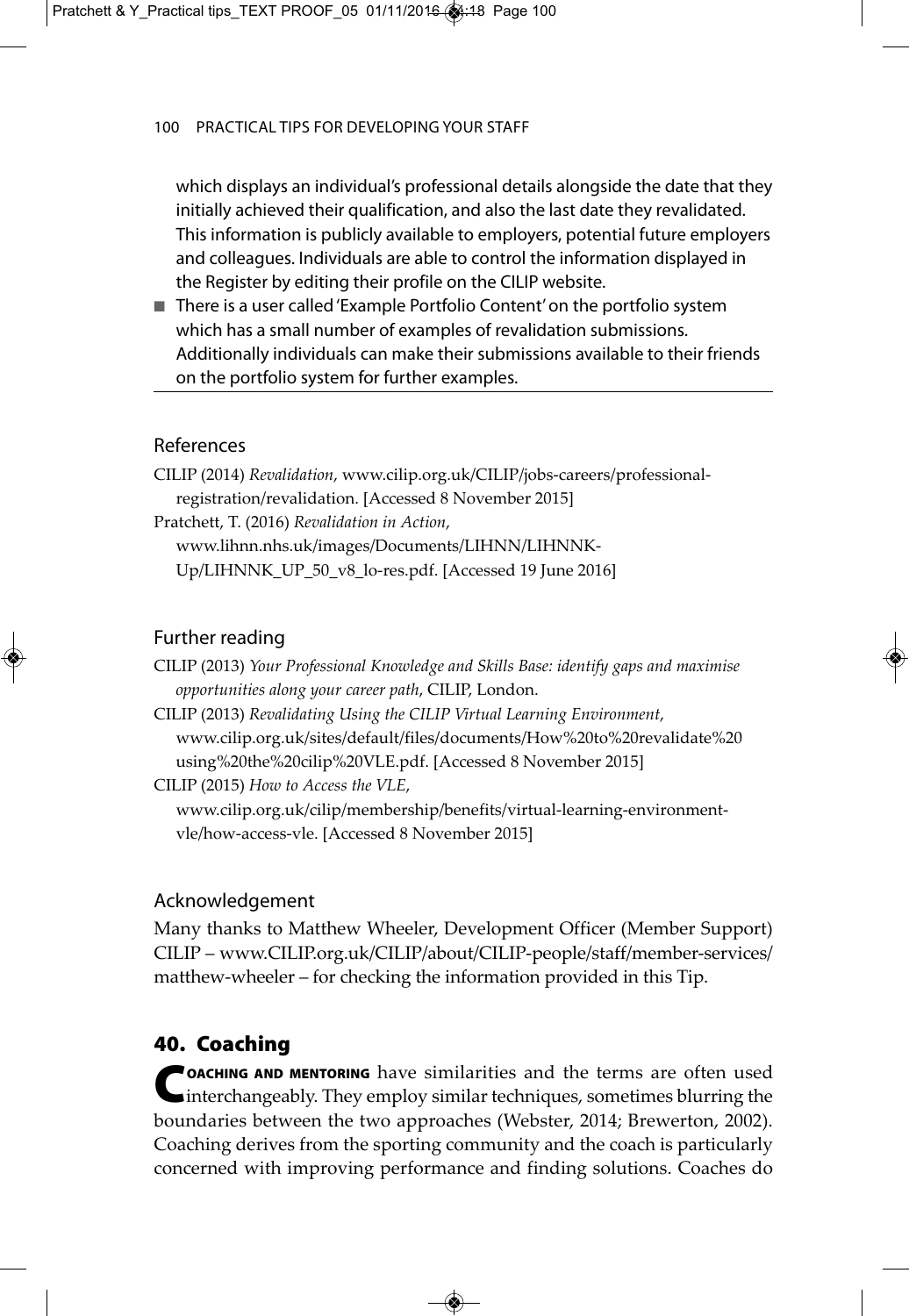which displays an individual's professional details alongside the date that they initially achieved their qualification, and also the last date they revalidated. This information is publicly available to employers, potential future employers and colleagues. Individuals are able to control the information displayed in the Register by editing their profile on the CILIP website.

■ There is a user called 'Example Portfolio Content' on the portfolio system which has a small number of examples of revalidation submissions. Additionally individuals can make their submissions available to their friends on the portfolio system for further examples.

### References

CILIP (2014) *Revalidation*, www.cilip.org.uk/CILIP/jobs-careers/professionalregistration/revalidation. [Accessed 8 November 2015] Pratchett, T. (2016) *Revalidation in Action*, www.lihnn.nhs.uk/images/Documents/LIHNN/LIHNNK-Up/LIHNNK\_UP\_50\_v8\_lo-res.pdf. [Accessed 19 June 2016]

### Further reading

CILIP (2013) *Your Professional Knowledge and Skills Base: identify gaps and maximise opportunities along your career path*, CILIP, London.

CILIP (2013) *Revalidating Using the CILIP Virtual Learning Environment*, www.cilip.org.uk/sites/default/files/documents/How%20to%20revalidate%20 using%20the%20cilip%20VLE.pdf. [Accessed 8 November 2015] CILIP (2015) *How to Access the VLE*,

www.cilip.org.uk/cilip/membership/benefits/virtual-learning-environmentvle/how-access-vle. [Accessed 8 November 2015]

### Acknowledgement

Many thanks to Matthew Wheeler, Development Officer (Member Support) CILIP – www.CILIP.org.uk/CILIP/about/CILIP-people/staff/member-services/ matthew-wheeler – for checking the information provided in this Tip.

# **40. Coaching**

COACHING AND MENTORING have similarities and the terms are often used<br>interchangeably. They employ similar techniques, sometimes blurring the boundaries between the two approaches (Webster, 2014; Brewerton, 2002). Coaching derives from the sporting community and the coach is particularly concerned with improving performance and finding solutions. Coaches do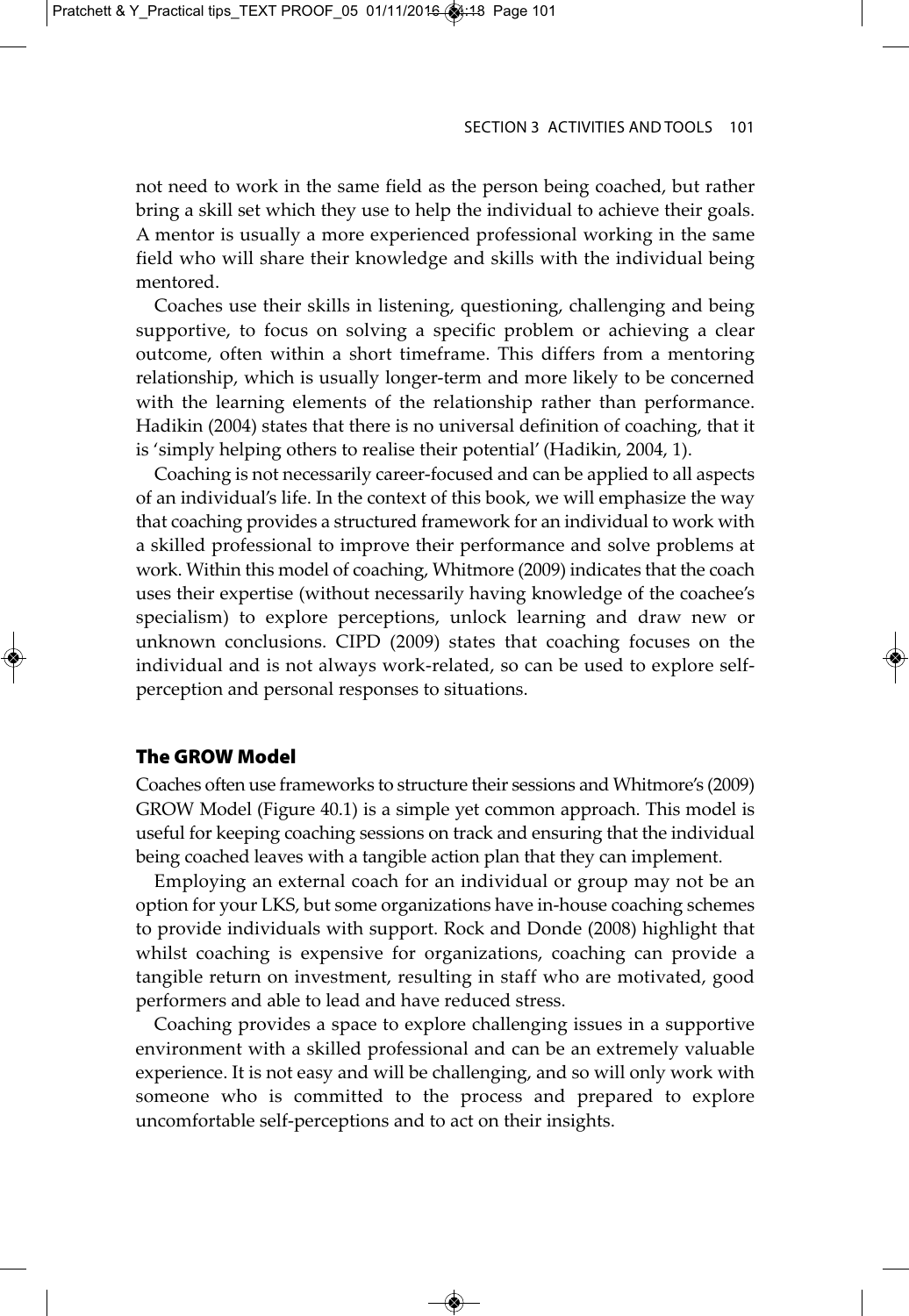not need to work in the same field as the person being coached, but rather bring a skill set which they use to help the individual to achieve their goals. A mentor is usually a more experienced professional working in the same field who will share their knowledge and skills with the individual being mentored.

Coaches use their skills in listening, questioning, challenging and being supportive, to focus on solving a specific problem or achieving a clear outcome, often within a short timeframe. This differs from a mentoring relationship, which is usually longer-term and more likely to be concerned with the learning elements of the relationship rather than performance. Hadikin (2004) states that there is no universal definition of coaching, that it is 'simply helping others to realise their potential' (Hadikin, 2004, 1).

Coaching is not necessarily career-focused and can be applied to all aspects of an individual's life. In the context of this book, we will emphasize the way that coaching provides a structured framework for an individual to work with a skilled professional to improve their performance and solve problems at work. Within this model of coaching, Whitmore (2009) indicates that the coach uses their expertise (without necessarily having knowledge of the coachee's specialism) to explore perceptions, unlock learning and draw new or unknown conclusions. CIPD (2009) states that coaching focuses on the individual and is not always work-related, so can be used to explore selfperception and personal responses to situations.

#### **The GROW Model**

Coaches often use frameworks to structure their sessions and Whitmore's (2009) GROW Model (Figure 40.1) is a simple yet common approach. This model is useful for keeping coaching sessions on track and ensuring that the individual being coached leaves with a tangible action plan that they can implement.

Employing an external coach for an individual or group may not be an option for your LKS, but some organizations have in-house coaching schemes to provide individuals with support. Rock and Donde (2008) highlight that whilst coaching is expensive for organizations, coaching can provide a tangible return on investment, resulting in staff who are motivated, good performers and able to lead and have reduced stress.

Coaching provides a space to explore challenging issues in a supportive environment with a skilled professional and can be an extremely valuable experience. It is not easy and will be challenging, and so will only work with someone who is committed to the process and prepared to explore uncomfortable self-perceptions and to act on their insights.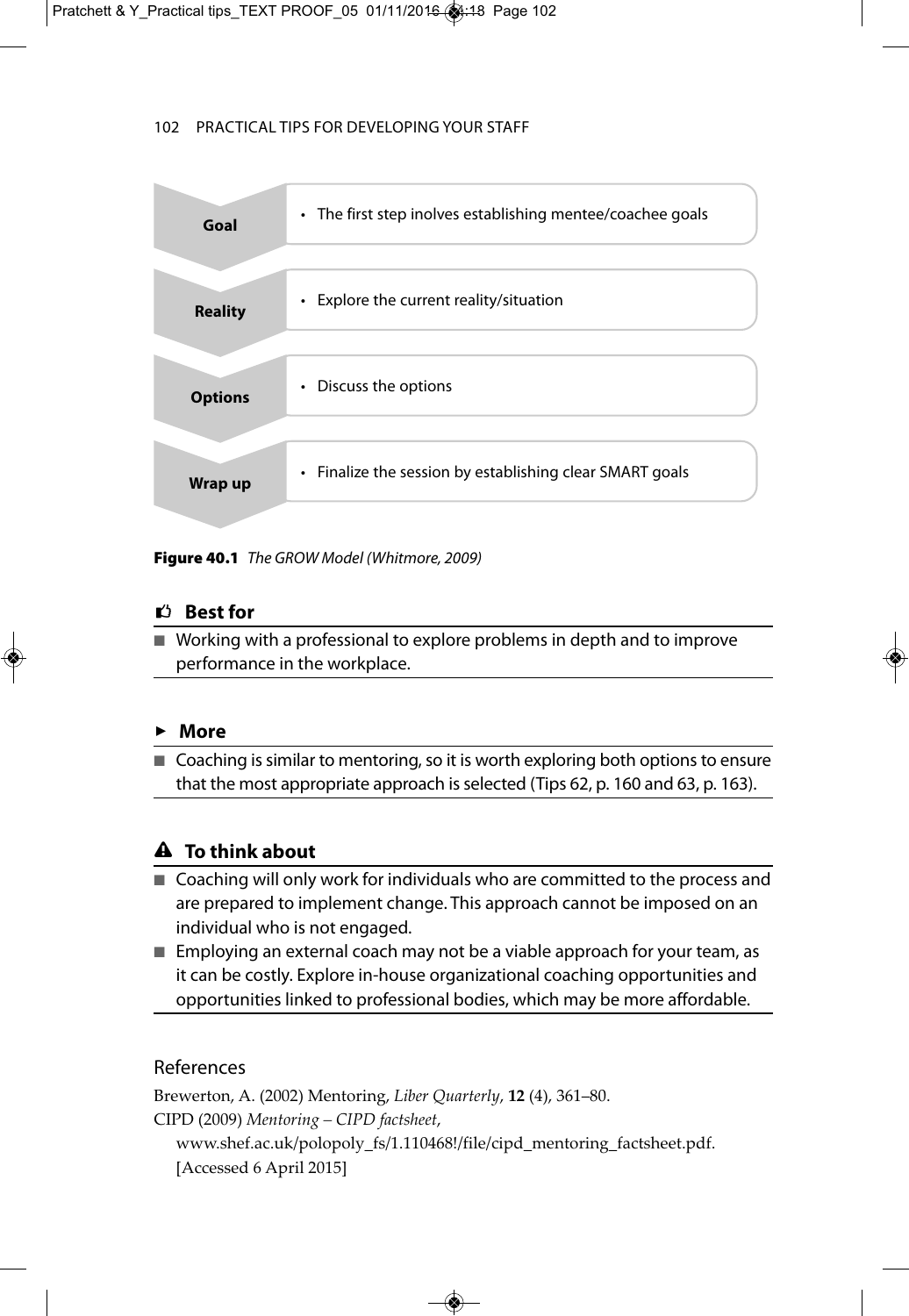| Goal           | • The first step inolves establishing mentee/coachee goals |
|----------------|------------------------------------------------------------|
| <b>Reality</b> | • Explore the current reality/situation                    |
| <b>Options</b> | • Discuss the options                                      |
| Wrap up        | • Finalize the session by establishing clear SMART goals   |

**Figure 40.1** *The GROW Model (Whitmore, 2009)*

### **Best** for

■ Working with a professional to explore problems in depth and to improve performance in the workplace.

### > **More**

■ Coaching is similar to mentoring, so it is worth exploring both options to ensure that the most appropriate approach is selected (Tips 62, p. 160 and 63, p. 163).

### ! **To think about**

- Coaching will only work for individuals who are committed to the process and are prepared to implement change. This approach cannot be imposed on an individual who is not engaged.
- Employing an external coach may not be a viable approach for your team, as it can be costly. Explore in-house organizational coaching opportunities and opportunities linked to professional bodies, which may be more affordable.

### References

Brewerton, A. (2002) Mentoring, *Liber Quarterly*, **12** (4), 361–80. CIPD (2009) *Mentoring – CIPD factsheet*, www.shef.ac.uk/polopoly\_fs/1.110468!/file/cipd\_mentoring\_factsheet.pdf. [Accessed 6 April 2015]